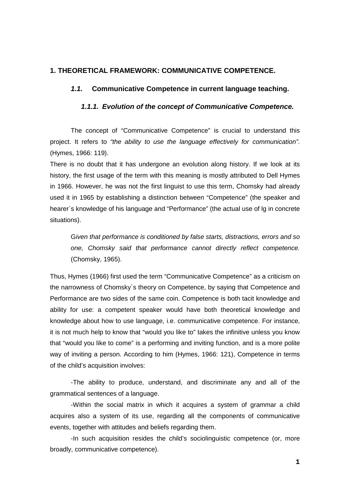# **1. THEORETICAL FRAMEWORK: COMMUNICATIVE COMPETENCE.**

# *1.1.* **Communicative Competence in current language teaching.**

# *1.1.1. Evolution of the concept of Communicative Competence.*

The concept of "Communicative Competence" is crucial to understand this project. It refers to *"the ability to use the language effectively for communication"*. (Hymes, 1966: 119).

There is no doubt that it has undergone an evolution along history. If we look at its history, the first usage of the term with this meaning is mostly attributed to Dell Hymes in 1966. However, he was not the first linguist to use this term, Chomsky had already used it in 1965 by establishing a distinction between "Competence" (the speaker and hearer´s knowledge of his language and "Performance" (the actual use of lg in concrete situations).

G*iven that performance is conditioned by false starts, distractions, errors and so one, Chomsky said that performance cannot directly reflect competence.*  (Chomsky, 1965).

Thus, Hymes (1966) first used the term "Communicative Competence" as a criticism on the narrowness of Chomsky´s theory on Competence, by saying that Competence and Performance are two sides of the same coin. Competence is both tacit knowledge and ability for use: a competent speaker would have both theoretical knowledge and knowledge about how to use language, i.e. communicative competence. For instance, it is not much help to know that "would you like to" takes the infinitive unless you know that "would you like to come" is a performing and inviting function, and is a more polite way of inviting a person. According to him (Hymes, 1966: 121), Competence in terms of the child's acquisition involves:

-The ability to produce, understand, and discriminate any and all of the grammatical sentences of a language.

-Within the social matrix in which it acquires a system of grammar a child acquires also a system of its use, regarding all the components of communicative events, together with attitudes and beliefs regarding them.

-In such acquisition resides the child's sociolinguistic competence (or, more broadly, communicative competence).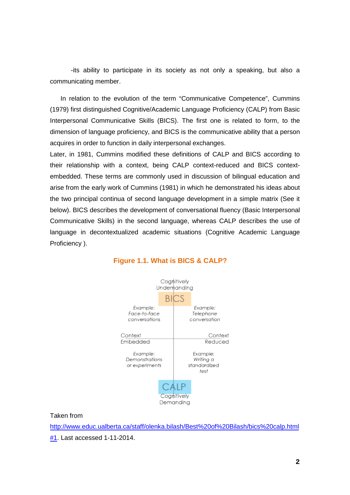-its ability to participate in its society as not only a speaking, but also a communicating member.

In relation to the evolution of the term "Communicative Competence", Cummins (1979) first distinguished Cognitive/Academic Language Proficiency (CALP) from Basic Interpersonal Communicative Skills (BICS). The first one is related to form, to the dimension of language proficiency, and BICS is the communicative ability that a person acquires in order to function in daily interpersonal exchanges.

Later, in 1981, Cummins modified these definitions of CALP and BICS according to their relationship with a context, being CALP context-reduced and BICS contextembedded. These terms are commonly used in discussion of bilingual education and arise from the early work of Cummins (1981) in which he demonstrated his ideas about the two principal continua of second language development in a simple matrix (See it below). BICS describes the development of conversational fluency (Basic Interpersonal Communicative Skills) in the second language, whereas CALP describes the use of language in decontextualized academic situations (Cognitive Academic Language Proficiency ).



# **Figure 1.1. What is BICS & CALP?**

Taken from

[http://www.educ.ualberta.ca/staff/olenka.bilash/Best%20of%20Bilash/bics%20calp.html](http://www.educ.ualberta.ca/staff/olenka.bilash/Best%20of%20Bilash/bics%20calp.html%231)

[#1.](http://www.educ.ualberta.ca/staff/olenka.bilash/Best%20of%20Bilash/bics%20calp.html%231) Last accessed 1-11-2014.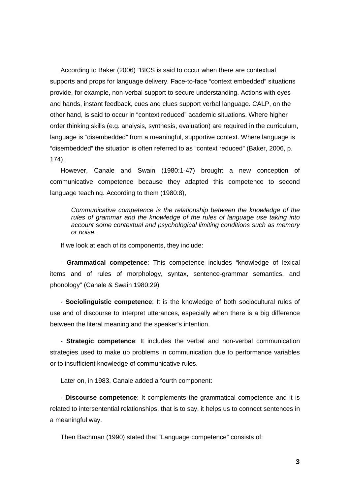According to Baker (2006) "BICS is said to occur when there are contextual supports and props for language delivery. Face-to-face "context embedded" situations provide, for example, non-verbal support to secure understanding. Actions with eyes and hands, instant feedback, cues and clues support verbal language. CALP, on the other hand, is said to occur in "context reduced" academic situations. Where higher order thinking skills (e.g. analysis, synthesis, evaluation) are required in the curriculum, language is "disembedded" from a meaningful, supportive context. Where language is "disembedded" the situation is often referred to as "context reduced" (Baker, 2006, p. 174).

However, Canale and Swain (1980:1-47) brought a new conception of communicative competence because they adapted this competence to second language teaching. According to them (1980:8),

*Communicative competence is the relationship between the knowledge of the rules of grammar and the knowledge of the rules of language use taking into account some contextual and psychological limiting conditions such as memory or noise.* 

If we look at each of its components, they include:

- **Grammatical competence**: This competence includes "knowledge of lexical items and of rules of morphology, syntax, sentence-grammar semantics, and phonology" (Canale & Swain 1980:29)

- **Sociolinguistic competence**: It is the knowledge of both sociocultural rules of use and of discourse to interpret utterances, especially when there is a big difference between the literal meaning and the speaker's intention.

- **Strategic competence**: It includes the verbal and non-verbal communication strategies used to make up problems in communication due to performance variables or to insufficient knowledge of communicative rules.

Later on, in 1983, Canale added a fourth component:

- **Discourse competence**: It complements the grammatical competence and it is related to intersentential relationships, that is to say, it helps us to connect sentences in a meaningful way.

Then Bachman (1990) stated that "Language competence" consists of: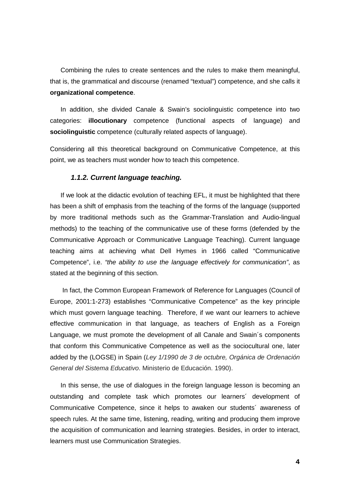Combining the rules to create sentences and the rules to make them meaningful, that is, the grammatical and discourse (renamed "textual") competence, and she calls it **organizational competence**.

In addition, she divided Canale & Swain's sociolinguistic competence into two categories: **illocutionary** competence (functional aspects of language) and **sociolinguistic** competence (culturally related aspects of language).

Considering all this theoretical background on Communicative Competence, at this point, we as teachers must wonder how to teach this competence.

## *1.1.2. Current language teaching.*

If we look at the didactic evolution of teaching EFL, it must be highlighted that there has been a shift of emphasis from the teaching of the forms of the language (supported by more traditional methods such as the Grammar-Translation and Audio-lingual methods) to the teaching of the communicative use of these forms (defended by the Communicative Approach or Communicative Language Teaching). Current language teaching aims at achieving what Dell Hymes in 1966 called "Communicative Competence", i.e. *"the ability to use the language effectively for communication"*, as stated at the beginning of this section.

In fact, the Common European Framework of Reference for Languages (Council of Europe, 2001:1-273) establishes "Communicative Competence" as the key principle which must govern language teaching. Therefore, if we want our learners to achieve effective communication in that language, as teachers of English as a Foreign Language, we must promote the development of all Canale and Swain´s components that conform this Communicative Competence as well as the sociocultural one, later added by the (LOGSE) in Spain (*Ley 1/1990 de 3 de octubre, Orgánica de Ordenación General del Sistema Educativo*. Ministerio de Educación. 1990).

In this sense, the use of dialogues in the foreign language lesson is becoming an outstanding and complete task which promotes our learners´ development of Communicative Competence, since it helps to awaken our students´ awareness of speech rules. At the same time, listening, reading, writing and producing them improve the acquisition of communication and learning strategies. Besides, in order to interact, learners must use Communication Strategies.

**4**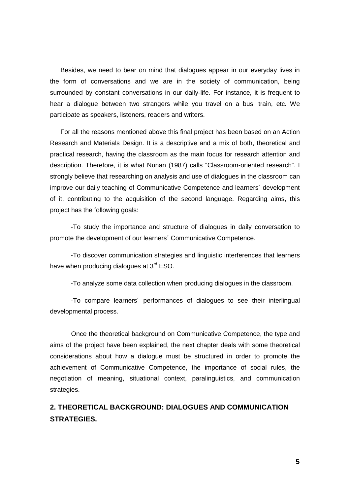Besides, we need to bear on mind that dialogues appear in our everyday lives in the form of conversations and we are in the society of communication, being surrounded by constant conversations in our daily-life. For instance, it is frequent to hear a dialogue between two strangers while you travel on a bus, train, etc. We participate as speakers, listeners, readers and writers.

For all the reasons mentioned above this final project has been based on an Action Research and Materials Design. It is a descriptive and a mix of both, theoretical and practical research, having the classroom as the main focus for research attention and description. Therefore, it is what Nunan (1987) calls "Classroom-oriented research". I strongly believe that researching on analysis and use of dialogues in the classroom can improve our daily teaching of Communicative Competence and learners´ development of it, contributing to the acquisition of the second language. Regarding aims, this project has the following goals:

-To study the importance and structure of dialogues in daily conversation to promote the development of our learners´ Communicative Competence.

-To discover communication strategies and linguistic interferences that learners have when producing dialogues at  $3^{rd}$  ESO.

-To analyze some data collection when producing dialogues in the classroom.

-To compare learners´ performances of dialogues to see their interlingual developmental process.

Once the theoretical background on Communicative Competence, the type and aims of the project have been explained, the next chapter deals with some theoretical considerations about how a dialogue must be structured in order to promote the achievement of Communicative Competence, the importance of social rules, the negotiation of meaning, situational context, paralinguistics, and communication strategies.

# **2. THEORETICAL BACKGROUND: DIALOGUES AND COMMUNICATION STRATEGIES.**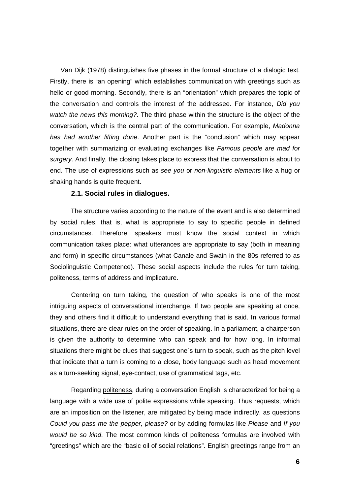Van Dijk (1978) distinguishes five phases in the formal structure of a dialogic text. Firstly, there is "an opening" which establishes communication with greetings such as hello or good morning. Secondly, there is an "orientation" which prepares the topic of the conversation and controls the interest of the addressee. For instance, *Did you watch the news this morning?*. The third phase within the structure is the object of the conversation, which is the central part of the communication. For example, *Madonna has had another lifting done*. Another part is the "conclusion" which may appear together with summarizing or evaluating exchanges like *Famous people are mad for surgery*. And finally, the closing takes place to express that the conversation is about to end. The use of expressions such as *see you* or *non-linguistic elements* like a hug or shaking hands is quite frequent.

### **2.1. Social rules in dialogues.**

The structure varies according to the nature of the event and is also determined by social rules, that is, what is appropriate to say to specific people in defined circumstances. Therefore, speakers must know the social context in which communication takes place: what utterances are appropriate to say (both in meaning and form) in specific circumstances (what Canale and Swain in the 80s referred to as Sociolinguistic Competence). These social aspects include the rules for turn taking, politeness, terms of address and implicature.

Centering on turn taking, the question of who speaks is one of the most intriguing aspects of conversational interchange. If two people are speaking at once, they and others find it difficult to understand everything that is said. In various formal situations, there are clear rules on the order of speaking. In a parliament, a chairperson is given the authority to determine who can speak and for how long. In informal situations there might be clues that suggest one´s turn to speak, such as the pitch level that indicate that a turn is coming to a close, body language such as head movement as a turn-seeking signal, eye-contact, use of grammatical tags, etc.

Regarding politeness, during a conversation English is characterized for being a language with a wide use of polite expressions while speaking. Thus requests, which are an imposition on the listener, are mitigated by being made indirectly, as questions *Could you pass me the pepper, please?* or by adding formulas like *Please* and *If you would be so kind*. The most common kinds of politeness formulas are involved with "greetings" which are the "basic oil of social relations". English greetings range from an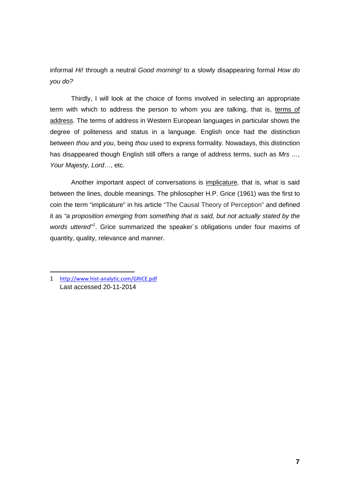informal *Hi!* through a neutral *Good morning!* to a slowly disappearing formal *How do you do?*

Thirdly, I will look at the choice of forms involved in selecting an appropriate term with which to address the person to whom you are talking, that is, terms of address. The terms of address in Western European languages in particular shows the degree of politeness and status in a language. English once had the distinction between *thou* and *you*, being *thou* used to express formality. Nowadays, this distinction has disappeared though English still offers a range of address terms, such as *Mrs …, Your Majesty, Lord…*, etc.

Another important aspect of conversations is implicature, that is, what is said between the lines, double meanings. The philosopher H.P. Grice (1961) was the first to coin the term "implicature" in his article "The Causal Theory of Perception" and defined it as *"a proposition emerging from something that is said, but not actually stated by the words uttered"[1](#page-6-0)* . Grice summarized the speaker´s obligations under four maxims of quantity, quality, relevance and manner.

 $\overline{a}$ 

<span id="page-6-0"></span><sup>1</sup> <http://www.hist-analytic.com/GRICE.pdf> Last accessed 20-11-2014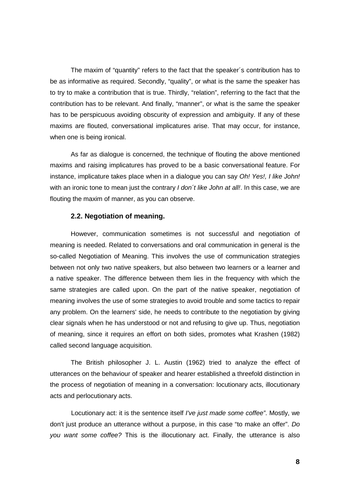The maxim of "quantity" refers to the fact that the speaker´s contribution has to be as informative as required. Secondly, "quality", or what is the same the speaker has to try to make a contribution that is true. Thirdly, "relation", referring to the fact that the contribution has to be relevant. And finally, "manner", or what is the same the speaker has to be perspicuous avoiding obscurity of expression and ambiguity. If any of these maxims are flouted, conversational implicatures arise. That may occur, for instance, when one is being ironical.

As far as dialogue is concerned, the technique of flouting the above mentioned maxims and raising implicatures has proved to be a basic conversational feature. For instance, implicature takes place when in a dialogue you can say *Oh! Yes!, I like John!* with an ironic tone to mean just the contrary *I don´t like John at all!*. In this case, we are flouting the maxim of manner, as you can observe.

# **2.2. Negotiation of meaning.**

However, communication sometimes is not successful and negotiation of meaning is needed. Related to conversations and oral communication in general is the so-called Negotiation of Meaning. This involves the use of communication strategies between not only two native speakers, but also between two learners or a learner and a native speaker. The difference between them lies in the frequency with which the same strategies are called upon. On the part of the native speaker, negotiation of meaning involves the use of some strategies to avoid trouble and some tactics to repair any problem. On the learners' side, he needs to contribute to the negotiation by giving clear signals when he has understood or not and refusing to give up. Thus, negotiation of meaning, since it requires an effort on both sides, promotes what Krashen (1982) called second language acquisition.

The British philosopher J. L. Austin (1962) tried to analyze the effect of utterances on the behaviour of speaker and hearer established a threefold distinction in the process of negotiation of meaning in a conversation: locutionary acts, illocutionary acts and perlocutionary acts.

Locutionary act: it is the sentence itself *I've just made some coffee"*. Mostly, we don't just produce an utterance without a purpose, in this case "to make an offer". *Do you want some coffee?* This is the illocutionary act. Finally, the utterance is also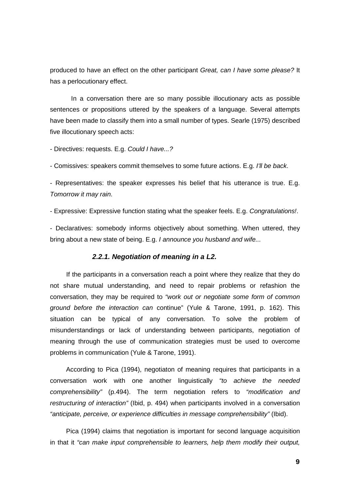produced to have an effect on the other participant *Great, can I have some please?* It has a perlocutionary effect.

In a conversation there are so many possible illocutionary acts as possible sentences or propositions uttered by the speakers of a language. Several attempts have been made to classify them into a small number of types. Searle (1975) described five illocutionary speech acts:

- Directives: requests. E.g. *Could I have...?*

- Comissives: speakers commit themselves to some future actions. E.g. *I'll be back*.

- Representatives: the speaker expresses his belief that his utterance is true. E.g. *Tomorrow it may rain*.

- Expressive: Expressive function stating what the speaker feels. E.g. *Congratulations!*.

- Declaratives: somebody informs objectively about something. When uttered, they bring about a new state of being. E.g. *I announce you husband and wife...*

## *2.2.1. Negotiation of meaning in a L2.*

 If the participants in a conversation reach a point where they realize that they do not share mutual understanding, and need to repair problems or refashion the conversation, they may be required to *"work out or negotiate some form of common ground before the interaction can* continue" (Yule & Tarone, 1991, p. 162). This situation can be typical of any conversation. To solve the problem of misunderstandings or lack of understanding between participants, negotiation of meaning through the use of communication strategies must be used to overcome problems in communication (Yule & Tarone, 1991).

 According to Pica (1994), negotiaton of meaning requires that participants in a conversation work with one another linguistically *"to achieve the needed comprehensibility"* (p.494). The term negotiation refers to *"modification and restructuring of interaction"* (Ibid, p. 494) when participants involved in a conversation *"anticipate, perceive, or experience difficulties in message comprehensibility"* (Ibid).

 Pica (1994) claims that negotiation is important for second language acquisition in that it *"can make input comprehensible to learners, help them modify their output,*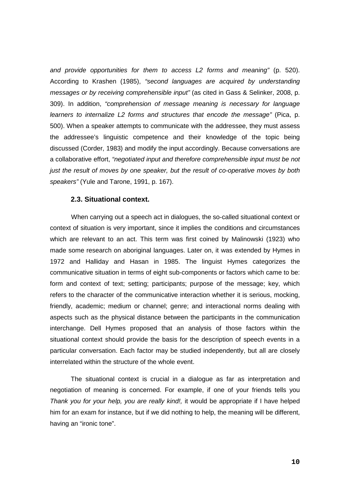*and provide opportunities for them to access L2 forms and meaning"* (p. 520). According to Krashen (1985), *"second languages are acquired by understanding messages or by receiving comprehensible input"* (as cited in Gass & Selinker, 2008, p. 309). In addition, *"comprehension of message meaning is necessary for language learners to internalize L2 forms and structures that encode the message"* (Pica, p. 500). When a speaker attempts to communicate with the addressee, they must assess the addressee's linguistic competence and their knowledge of the topic being discussed (Corder, 1983) and modify the input accordingly. Because conversations are a collaborative effort, *"negotiated input and therefore comprehensible input must be not just the result of moves by one speaker, but the result of co-operative moves by both speakers"* (Yule and Tarone, 1991, p. 167).

## **2.3. Situational context.**

When carrying out a speech act in dialogues, the so-called situational context or context of situation is very important, since it implies the conditions and circumstances which are relevant to an act. This term was first coined by Malinowski (1923) who made some research on aboriginal languages. Later on, it was extended by Hymes in 1972 and Halliday and Hasan in 1985. The linguist Hymes categorizes the communicative situation in terms of eight sub-components or factors which came to be: form and context of text; setting; participants; purpose of the message; key, which refers to the character of the communicative interaction whether it is serious, mocking, friendly, academic; medium or channel; genre; and interactional norms dealing with aspects such as the physical distance between the participants in the communication interchange. Dell Hymes proposed that an analysis of those factors within the situational context should provide the basis for the description of speech events in a particular conversation. Each factor may be studied independently, but all are closely interrelated within the structure of the whole event.

The situational context is crucial in a dialogue as far as interpretation and negotiation of meaning is concerned. For example, if one of your friends tells you *Thank you for your help, you are really kind!,* it would be appropriate if I have helped him for an exam for instance, but if we did nothing to help, the meaning will be different, having an "ironic tone".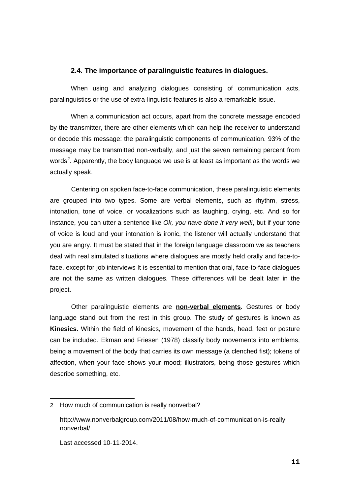## **2.4. The importance of paralinguistic features in dialogues.**

When using and analyzing dialogues consisting of communication acts, paralinguistics or the use of extra-linguistic features is also a remarkable issue.

When a communication act occurs, apart from the concrete message encoded by the transmitter, there are other elements which can help the receiver to understand or decode this message: the paralinguistic components of communication. 93% of the message may be transmitted non-verbally, and just the seven remaining percent from words<sup>[2](#page-10-0)</sup>. Apparently, the body language we use is at least as important as the words we actually speak.

Centering on spoken face-to-face communication, these paralinguistic elements are grouped into two types. Some are verbal elements, such as rhythm, stress, intonation, tone of voice, or vocalizations such as laughing, crying, etc. And so for instance, you can utter a sentence like *Ok, you have done it very well!*, but if your tone of voice is loud and your intonation is ironic, the listener will actually understand that you are angry. It must be stated that in the foreign language classroom we as teachers deal with real simulated situations where dialogues are mostly held orally and face-toface, except for job interviews It is essential to mention that oral, face-to-face dialogues are not the same as written dialogues. These differences will be dealt later in the project.

Other paralinguistic elements are **non-verbal elements**. Gestures or body language stand out from the rest in this group. The study of gestures is known as **Kinesics**. Within the field of kinesics, movement of the hands, head, feet or posture can be included. Ekman and Friesen (1978) classify body movements into emblems, being a movement of the body that carries its own message (a clenched fist); tokens of affection, when your face shows your mood; illustrators, being those gestures which describe something, etc.

**.** 

<span id="page-10-0"></span><sup>2</sup> How much of communication is really nonverbal?

http://www.nonverbalgroup.com/2011/08/how-much-of-communication-is-really nonverbal/

Last accessed 10-11-2014.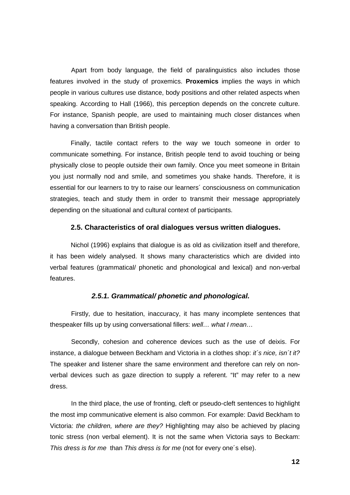Apart from body language, the field of paralinguistics also includes those features involved in the study of proxemics. **Proxemics** implies the ways in which people in various cultures use distance, body positions and other related aspects when speaking. According to Hall (1966), this perception depends on the concrete culture. For instance, Spanish people, are used to maintaining much closer distances when having a conversation than British people.

Finally, tactile contact refers to the way we touch someone in order to communicate something. For instance, British people tend to avoid touching or being physically close to people outside their own family. Once you meet someone in Britain you just normally nod and smile, and sometimes you shake hands. Therefore, it is essential for our learners to try to raise our learners´ consciousness on communication strategies, teach and study them in order to transmit their message appropriately depending on the situational and cultural context of participants.

### **2.5. Characteristics of oral dialogues versus written dialogues.**

Nichol (1996) explains that dialogue is as old as civilization itself and therefore, it has been widely analysed. It shows many characteristics which are divided into verbal features (grammatical/ phonetic and phonological and lexical) and non-verbal features.

# *2.5.1. Grammatical/ phonetic and phonological.*

Firstly, due to hesitation, inaccuracy, it has many incomplete sentences that thespeaker fills up by using conversational fillers: *well… what I mean…*

Secondly, cohesion and coherence devices such as the use of deixis. For instance, a dialogue between Beckham and Victoria in a clothes shop: *it´s nice, isn´t it?* The speaker and listener share the same environment and therefore can rely on nonverbal devices such as gaze direction to supply a referent. "It" may refer to a new dress.

In the third place, the use of fronting, cleft or pseudo-cleft sentences to highlight the most imp communicative element is also common. For example: David Beckham to Victoria: *the children, where are they?* Highlighting may also be achieved by placing tonic stress (non verbal element). It is not the same when Victoria says to Beckam: *This dress is for me* than *This dress is for me* (not for every one´s else).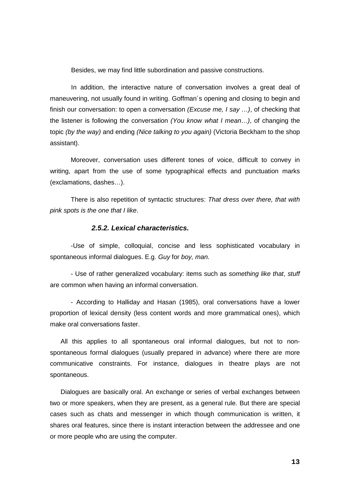Besides, we may find little subordination and passive constructions.

In addition, the interactive nature of conversation involves a great deal of maneuvering, not usually found in writing. Goffman´s opening and closing to begin and finish our conversation: to open a conversation *(Excuse me, I say …)*, of checking that the listener is following the conversation *(You know what I mean…)*, of changing the topic *(by the way)* and ending *(Nice talking to you again)* (Victoria Beckham to the shop assistant).

Moreover, conversation uses different tones of voice, difficult to convey in writing, apart from the use of some typographical effects and punctuation marks (exclamations, dashes…).

There is also repetition of syntactic structures: *That dress over there, that with pink spots is the one that I like*.

## *2.5.2. Lexical characteristics.*

-Use of simple, colloquial, concise and less sophisticated vocabulary in spontaneous informal dialogues. E.g. *Guy* for *boy, man.*

- Use of rather generalized vocabulary: items such as *something like that*, *stuff* are common when having an informal conversation.

- According to Halliday and Hasan (1985), oral conversations have a lower proportion of lexical density (less content words and more grammatical ones), which make oral conversations faster.

All this applies to all spontaneous oral informal dialogues, but not to nonspontaneous formal dialogues (usually prepared in advance) where there are more communicative constraints. For instance, dialogues in theatre plays are not spontaneous.

Dialogues are basically oral. An exchange or series of verbal exchanges between two or more speakers, when they are present, as a general rule. But there are special cases such as chats and messenger in which though communication is written, it shares oral features, since there is instant interaction between the addressee and one or more people who are using the computer.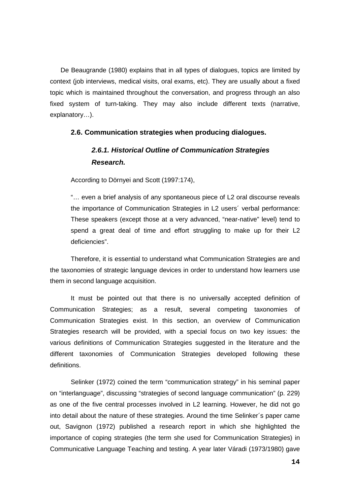De Beaugrande (1980) explains that in all types of dialogues, topics are limited by context (job interviews, medical visits, oral exams, etc). They are usually about a fixed topic which is maintained throughout the conversation, and progress through an also fixed system of turn-taking. They may also include different texts (narrative, explanatory…).

## **2.6. Communication strategies when producing dialogues.**

# *2.6.1. Historical Outline of Communication Strategies Research.*

According to Dörnyei and Scott (1997:174),

"… even a brief analysis of any spontaneous piece of L2 oral discourse reveals the importance of Communication Strategies in L2 users´ verbal performance: These speakers (except those at a very advanced, "near-native" level) tend to spend a great deal of time and effort struggling to make up for their L2 deficiencies".

Therefore, it is essential to understand what Communication Strategies are and the taxonomies of strategic language devices in order to understand how learners use them in second language acquisition.

It must be pointed out that there is no universally accepted definition of Communication Strategies; as a result, several competing taxonomies of Communication Strategies exist. In this section, an overview of Communication Strategies research will be provided, with a special focus on two key issues: the various definitions of Communication Strategies suggested in the literature and the different taxonomies of Communication Strategies developed following these definitions.

Selinker (1972) coined the term "communication strategy" in his seminal paper on "interlanguage", discussing "strategies of second language communication" (p. 229) as one of the five central processes involved in L2 learning. However, he did not go into detail about the nature of these strategies. Around the time Selinker´s paper came out, Savignon (1972) published a research report in which she highlighted the importance of coping strategies (the term she used for Communication Strategies) in Communicative Language Teaching and testing. A year later Váradi (1973/1980) gave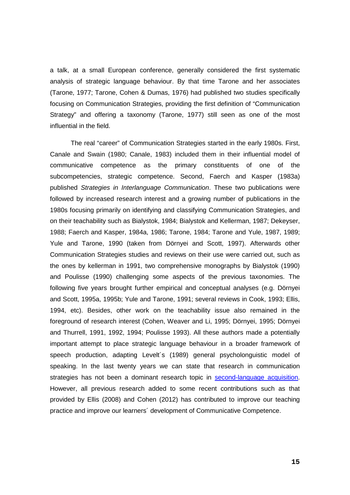a talk, at a small European conference, generally considered the first systematic analysis of strategic language behaviour. By that time Tarone and her associates (Tarone, 1977; Tarone, Cohen & Dumas, 1976) had published two studies specifically focusing on Communication Strategies, providing the first definition of "Communication Strategy" and offering a taxonomy (Tarone, 1977) still seen as one of the most influential in the field.

The real "career" of Communication Strategies started in the early 1980s. First, Canale and Swain (1980; Canale, 1983) included them in their influential model of communicative competence as the primary constituents of one of the subcompetencies, strategic competence. Second, Faerch and Kasper (1983a) published *Strategies in Interlanguage Communication*. These two publications were followed by increased research interest and a growing number of publications in the 1980s focusing primarily on identifying and classifying Communication Strategies, and on their teachability such as Bialystok, 1984; Bialystok and Kellerman, 1987; Dekeyser, 1988; Faerch and Kasper, 1984a, 1986; Tarone, 1984; Tarone and Yule, 1987, 1989; Yule and Tarone, 1990 (taken from Dörnyei and Scott, 1997). Afterwards other Communication Strategies studies and reviews on their use were carried out, such as the ones by kellerman in 1991, two comprehensive monographs by Bialystok (1990) and Poulisse (1990) challenging some aspects of the previous taxonomies. The following five years brought further empirical and conceptual analyses (e.g. Dörnyei and Scott, 1995a, 1995b; Yule and Tarone, 1991; several reviews in Cook, 1993; Ellis, 1994, etc). Besides, other work on the teachability issue also remained in the foreground of research interest (Cohen, Weaver and Li, 1995; Dörnyei, 1995; Dörnyei and Thurrell, 1991, 1992, 1994; Poulisse 1993). All these authors made a potentially important attempt to place strategic language behaviour in a broader framework of speech production, adapting Levelt´s (1989) general psycholonguistic model of speaking. In the last twenty years we can state that research in communication strategies has not been a dominant research topic in [second-language acquisition.](http://en.wikipedia.org/wiki/Second-language_acquisition) However, all previous research added to some recent contributions such as that provided by Ellis (2008) and Cohen (2012) has contributed to improve our teaching practice and improve our learners´ development of Communicative Competence.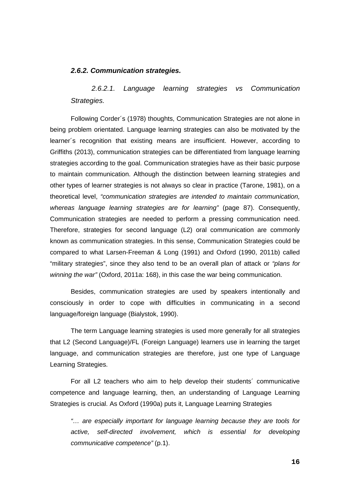### *2.6.2. Communication strategies.*

*2.6.2.1. Language learning strategies vs Communication Strategies.*

Following Corder´s (1978) thoughts, Communication Strategies are not alone in being problem orientated. Language learning strategies can also be motivated by the learner´s recognition that existing means are insufficient. However, according to Griffiths (2013), communication strategies can be differentiated from language learning strategies according to the goal. Communication strategies have as their basic purpose to maintain communication. Although the distinction between learning strategies and other types of learner strategies is not always so clear in practice (Tarone, 1981), on a theoretical level, *"communication strategies are intended to maintain communication, whereas language learning strategies are for learning"* (page 87). Consequently, Communication strategies are needed to perform a pressing communication need. Therefore, strategies for second language (L2) oral communication are commonly known as communication strategies. In this sense, Communication Strategies could be compared to what Larsen-Freeman & Long (1991) and Oxford (1990, 2011b) called "military strategies", since they also tend to be an overall plan of attack or *"plans for winning the war"* (Oxford, 2011a: 168), in this case the war being communication.

Besides, communication strategies are used by speakers intentionally and consciously in order to cope with difficulties in communicating in a second language/foreign language (Bialystok, 1990).

The term Language learning strategies is used more generally for all strategies that L2 (Second Language)/FL (Foreign Language) learners use in learning the target language, and communication strategies are therefore, just one type of Language Learning Strategies.

For all L2 teachers who aim to help develop their students´ communicative competence and language learning, then, an understanding of Language Learning Strategies is crucial. As Oxford (1990a) puts it, Language Learning Strategies

*"… are especially important for language learning because they are tools for active, self-directed involvement, which is essential for developing communicative competence"* (p.1).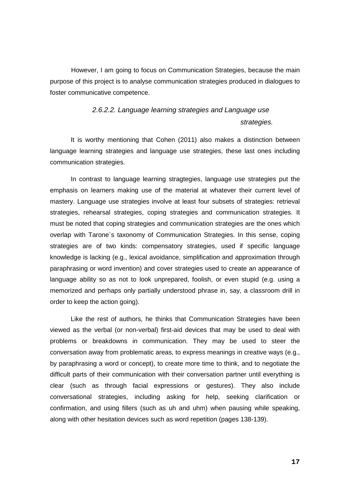However, I am going to focus on Communication Strategies, because the main purpose of this project is to analyse communication strategies produced in dialogues to foster communicative competence.

# *2.6.2.2. Language learning strategies and Language use strategies.*

It is worthy mentioning that Cohen (2011) also makes a distinction between language learning strategies and language use strategies, these last ones including communication strategies.

In contrast to language learning stragtegies, language use strategies put the emphasis on learners making use of the material at whatever their current level of mastery. Language use strategies involve at least four subsets of strategies: retrieval strategies, rehearsal strategies, coping strategies and communication strategies. It must be noted that coping strategies and communication strategies are the ones which overlap with Tarone´s taxonomy of Communication Strategies. In this sense, coping strategies are of two kinds: compensatory strategies, used if specific language knowledge is lacking (e.g., lexical avoidance, simplification and approximation through paraphrasing or word invention) and cover strategies used to create an appearance of language ability so as not to look unprepared, foolish, or even stupid (e.g. using a memorized and perhaps only partially understood phrase in, say, a classroom drill in order to keep the action going).

Like the rest of authors, he thinks that Communication Strategies have been viewed as the verbal (or non-verbal) first-aid devices that may be used to deal with problems or breakdowns in communication. They may be used to steer the conversation away from problematic areas, to express meanings in creative ways (e.g., by paraphrasing a word or concept), to create more time to think, and to negotiate the difficult parts of their communication with their conversation partner until everything is clear (such as through facial expressions or gestures). They also include conversational strategies, including asking for help, seeking clarification or confirmation, and using fillers (such as uh and uhm) when pausing while speaking, along with other hesitation devices such as word repetition (pages 138-139).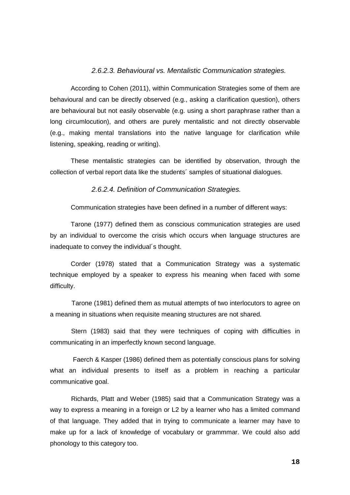## *2.6.2.3. Behavioural vs. Mentalistic Communication strategies.*

According to Cohen (2011), within Communication Strategies some of them are behavioural and can be directly observed (e.g., asking a clarification question), others are behavioural but not easily observable (e.g. using a short paraphrase rather than a long circumlocution), and others are purely mentalistic and not directly observable (e.g., making mental translations into the native language for clarification while listening, speaking, reading or writing).

These mentalistic strategies can be identified by observation, through the collection of verbal report data like the students´ samples of situational dialogues.

*2.6.2.4. Definition of Communication Strategies.*

Communication strategies have been defined in a number of different ways:

Tarone (1977) defined them as conscious communication strategies are used by an individual to overcome the crisis which occurs when language structures are inadequate to convey the individual´s thought.

Corder (1978) stated that a Communication Strategy was a systematic technique employed by a speaker to express his meaning when faced with some difficulty.

 Tarone (1981) defined them as mutual attempts of two interlocutors to agree on a meaning in situations when requisite meaning structures are not shared.

Stern (1983) said that they were techniques of coping with difficulties in communicating in an imperfectly known second language.

Faerch & Kasper (1986) defined them as potentially conscious plans for solving what an individual presents to itself as a problem in reaching a particular communicative goal.

Richards, Platt and Weber (1985) said that a Communication Strategy was a way to express a meaning in a foreign or L2 by a learner who has a limited command of that language. They added that in trying to communicate a learner may have to make up for a lack of knowledge of vocabulary or grammmar. We could also add phonology to this category too.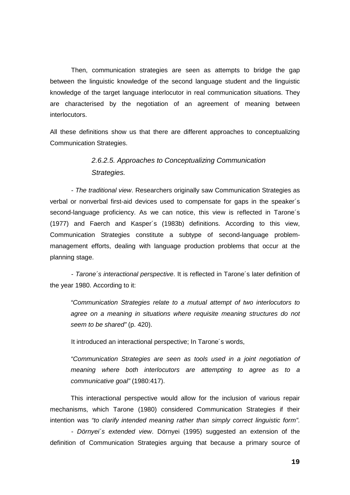Then, communication strategies are seen as attempts to bridge the gap between the linguistic knowledge of the second language student and the linguistic knowledge of the target language interlocutor in real communication situations. They are characterised by the negotiation of an agreement of meaning between interlocutors.

All these definitions show us that there are different approaches to conceptualizing Communication Strategies.

# *2.6.2.5. Approaches to Conceptualizing Communication Strategies.*

*- The traditional view*. Researchers originally saw Communication Strategies as verbal or nonverbal first-aid devices used to compensate for gaps in the speaker´s second-language proficiency. As we can notice, this view is reflected in Tarone´s (1977) and Faerch and Kasper´s (1983b) definitions. According to this view, Communication Strategies constitute a subtype of second-language problemmanagement efforts, dealing with language production problems that occur at the planning stage.

*- Tarone´s interactional perspective*. It is reflected in Tarone´s later definition of the year 1980. According to it:

*"Communication Strategies relate to a mutual attempt of two interlocutors to agree on a meaning in situations where requisite meaning structures do not seem to be shared"* (p. 420).

It introduced an interactional perspective; In Tarone´s words,

*"Communication Strategies are seen as tools used in a joint negotiation of meaning where both interlocutors are attempting to agree as to a communicative goal"* (1980:417).

This interactional perspective would allow for the inclusion of various repair mechanisms, which Tarone (1980) considered Communication Strategies if their intention was *"to clarify intended meaning rather than simply correct linguistic form"*.

*- Dörnyei´s extended view*. Dörnyei (1995) suggested an extension of the definition of Communication Strategies arguing that because a primary source of

**19**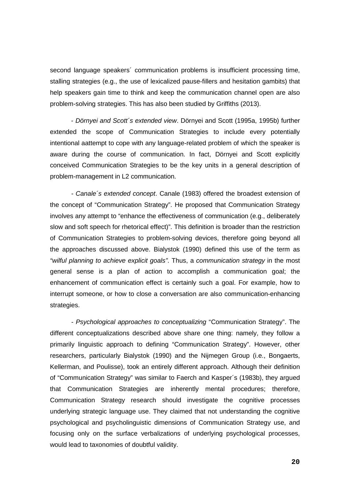second language speakers´ communication problems is insufficient processing time, stalling strategies (e.g., the use of lexicalized pause-fillers and hesitation gambits) that help speakers gain time to think and keep the communication channel open are also problem-solving strategies. This has also been studied by Griffiths (2013).

- *Dörnyei and Scott´s extended view*. Dörnyei and Scott (1995a, 1995b) further extended the scope of Communication Strategies to include every potentially intentional aattempt to cope with any language-related problem of which the speaker is aware during the course of communication. In fact, Dörnyei and Scott explicitly conceived Communication Strategies to be the key units in a general description of problem-management in L2 communication.

*- Canale´s extended concept*. Canale (1983) offered the broadest extension of the concept of "Communication Strategy". He proposed that Communication Strategy involves any attempt to "enhance the effectiveness of communication (e.g., deliberately slow and soft speech for rhetorical effect)". This definition is broader than the restriction of Communication Strategies to problem-solving devices, therefore going beyond all the approaches discussed above. Bialystok (1990) defined this use of the term as *"wilful planning to achieve explicit goals"*. Thus, a *communication strategy* in the most general sense is a plan of action to accomplish a communication goal; the enhancement of communication effect is certainly such a goal. For example, how to interrupt someone, or how to close a conversation are also communication-enhancing strategies.

*- Psychological approaches to conceptualizing* "Communication Strategy". The different conceptualizations described above share one thing: namely, they follow a primarily linguistic approach to defining "Communication Strategy". However, other researchers, particularly Bialystok (1990) and the Nijmegen Group (i.e., Bongaerts, Kellerman, and Poulisse), took an entirely different approach. Although their definition of "Communication Strategy" was similar to Faerch and Kasper´s (1983b), they argued that Communication Strategies are inherently mental procedures; therefore, Communication Strategy research should investigate the cognitive processes underlying strategic language use. They claimed that not understanding the cognitive psychological and psycholinguistic dimensions of Communication Strategy use, and focusing only on the surface verbalizations of underlying psychological processes, would lead to taxonomies of doubtful validity.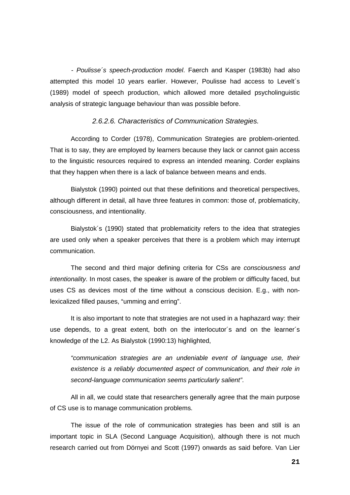*- Poulisse´s speech-production model*. Faerch and Kasper (1983b) had also attempted this model 10 years earlier. However, Poulisse had access to Levelt´s (1989) model of speech production, which allowed more detailed psycholinguistic analysis of strategic language behaviour than was possible before.

#### *2.6.2.6. Characteristics of Communication Strategies.*

According to Corder (1978), Communication Strategies are problem-oriented. That is to say, they are employed by learners because they lack or cannot gain access to the linguistic resources required to express an intended meaning. Corder explains that they happen when there is a lack of balance between means and ends.

Bialystok (1990) pointed out that these definitions and theoretical perspectives, although different in detail, all have three features in common: those of, problematicity, consciousness, and intentionality.

Bialystok´s (1990) stated that problematicity refers to the idea that strategies are used only when a speaker perceives that there is a problem which may interrupt communication.

The second and third major defining criteria for CSs are *consciousness and intentionality.* In most cases, the speaker is aware of the problem or difficulty faced, but uses CS as devices most of the time without a conscious decision. E.g., with nonlexicalized filled pauses, "umming and erring".

It is also important to note that strategies are not used in a haphazard way: their use depends, to a great extent, both on the interlocutor´s and on the learner´s knowledge of the L2. As Bialystok (1990:13) highlighted,

*"communication strategies are an undeniable event of language use, their existence is a reliably documented aspect of communication, and their role in second-language communication seems particularly salient"*.

All in all, we could state that researchers generally agree that the main purpose of CS use is to manage communication problems.

The issue of the role of communication strategies has been and still is an important topic in SLA (Second Language Acquisition), although there is not much research carried out from Dörnyei and Scott (1997) onwards as said before. Van Lier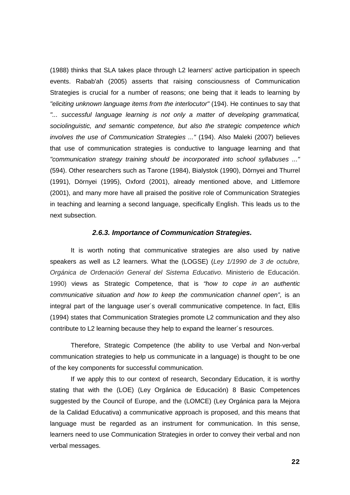(1988) thinks that SLA takes place through L2 learners' active participation in speech events. Rabab'ah (2005) asserts that raising consciousness of Communication Strategies is crucial for a number of reasons; one being that it leads to learning by *"eliciting unknown language items from the interlocutor"* (194). He continues to say that *"... successful language learning is not only a matter of developing grammatical, sociolinguistic, and semantic competence, but also the strategic competence which involves the use of Communication Strategies ..."* (194). Also Maleki (2007) believes that use of communication strategies is conductive to language learning and that *"communication strategy training should be incorporated into school syllabuses ..."* (594). Other researchers such as Tarone (1984), Bialystok (1990), Dörnyei and Thurrel (1991), Dörnyei (1995), Oxford (2001), already mentioned above, and Littlemore (2001), and many more have all praised the positive role of Communication Strategies in teaching and learning a second language, specifically English. This leads us to the next subsection.

#### *2.6.3. Importance of Communication Strategies.*

It is worth noting that communicative strategies are also used by native speakers as well as L2 learners. What the (LOGSE) (*Ley 1/1990 de 3 de octubre, Orgánica de Ordenación General del Sistema Educativo*. Ministerio de Educación. 1990) views as Strategic Competence, that is *"how to cope in an authentic communicative situation and how to keep the communication channel open"*, is an integral part of the language user´s overall communicative competence. In fact, Ellis (1994) states that Communication Strategies promote L2 communication and they also contribute to L2 learning because they help to expand the learner´s resources.

Therefore, Strategic Competence (the ability to use Verbal and Non-verbal communication strategies to help us communicate in a language) is thought to be one of the key components for successful communication.

If we apply this to our context of research, Secondary Education, it is worthy stating that with the (LOE) (Ley Orgánica de Educación) 8 Basic Competences suggested by the Council of Europe, and the (LOMCE) (Ley Orgánica para la Mejora de la Calidad Educativa) a communicative approach is proposed, and this means that language must be regarded as an instrument for communication. In this sense, learners need to use Communication Strategies in order to convey their verbal and non verbal messages.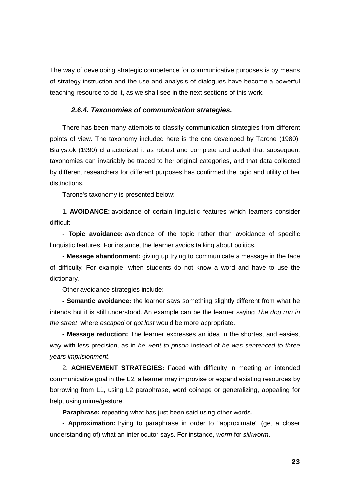The way of developing strategic competence for communicative purposes is by means of strategy instruction and the use and analysis of dialogues have become a powerful teaching resource to do it, as we shall see in the next sections of this work.

### *2.6.4. Taxonomies of communication strategies.*

There has been many attempts to classify communication strategies from different points of view. The taxonomy included here is the one developed by Tarone (1980). Bialystok (1990) characterized it as robust and complete and added that subsequent taxonomies can invariably be traced to her original categories, and that data collected by different researchers for different purposes has confirmed the logic and utility of her distinctions.

Tarone's taxonomy is presented below:

1. **AVOIDANCE:** avoidance of certain linguistic features which learners consider difficult.

- **Topic avoidance:** avoidance of the topic rather than avoidance of specific linguistic features. For instance, the learner avoids talking about politics.

- **Message abandonment:** giving up trying to communicate a message in the face of difficulty. For example, when students do not know a word and have to use the dictionary.

Other avoidance strategies include:

**- Semantic avoidance:** the learner says something slightly different from what he intends but it is still understood. An example can be the learner saying *The dog run in the street*, where *escaped* or *got lost* would be more appropriate.

**- Message reduction:** The learner expresses an idea in the shortest and easiest way with less precision, as in *he went to prison* instead of *he was sentenced to three years imprisionment*.

2. **ACHIEVEMENT STRATEGIES:** Faced with difficulty in meeting an intended communicative goal in the L2, a learner may improvise or expand existing resources by borrowing from L1, using L2 paraphrase, word coinage or generalizing, appealing for help, using mime/gesture.

**Paraphrase:** repeating what has just been said using other words.

- **Approximation:** trying to paraphrase in order to "approximate" (get a closer understanding of) what an interlocutor says. For instance, *worm* for *silkworm*.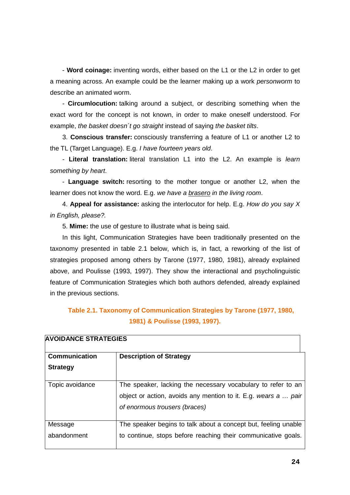- **Word coinage:** inventing words, either based on the L1 or the L2 in order to get a meaning across. An example could be the learner making up a work *personworm* to describe an animated worm.

- **Circumlocution:** talking around a subject, or describing something when the exact word for the concept is not known, in order to make oneself understood. For example, *the basket doesn´t go straight* instead of saying *the basket tilts*.

3. **Conscious transfer:** consciously transferring a feature of L1 or another L2 to the TL (Target Language). E.g. *I have fourteen years old*.

- **Literal translation:** literal translation L1 into the L2. An example is *learn something by heart*.

- **Language switch:** resorting to the mother tongue or another L2, when the learner does not know the word. E.g. *we have a brasero in the living room*.

4. **Appeal for assistance:** asking the interlocutor for help. E.g. *How do you say X in English, please?.*

5. **Mime:** the use of gesture to illustrate what is being said.

In this light, Communication Strategies have been traditionally presented on the taxonomy presented in table 2.1 below, which is, in fact, a reworking of the list of strategies proposed among others by Tarone (1977, 1980, 1981), already explained above, and Poulisse (1993, 1997). They show the interactional and psycholinguistic feature of Communication Strategies which both authors defended, already explained in the previous sections.

# **Table 2.1. Taxonomy of Communication Strategies by Tarone (1977, 1980, 1981) & Poulisse (1993, 1997).**

| <b>AVOIDANCE STRATEGIES</b> |                                                                |
|-----------------------------|----------------------------------------------------------------|
| <b>Communication</b>        | <b>Description of Strategy</b>                                 |
| <b>Strategy</b>             |                                                                |
| Topic avoidance             | The speaker, lacking the necessary vocabulary to refer to an   |
|                             | object or action, avoids any mention to it. E.g. wears a  pair |
|                             | of enormous trousers (braces)                                  |
| Message                     | The speaker begins to talk about a concept but, feeling unable |
| abandonment                 | to continue, stops before reaching their communicative goals.  |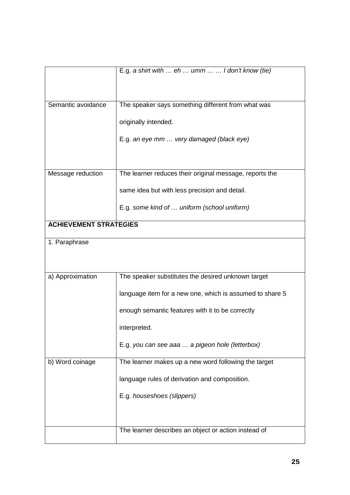|                               | E.g. a shirt with $eh$ umm   I don't know (tie)          |
|-------------------------------|----------------------------------------------------------|
|                               |                                                          |
|                               |                                                          |
| Semantic avoidance            | The speaker says something different from what was       |
|                               |                                                          |
|                               | originally intended.                                     |
|                               | E.g. an eye mm  very damaged (black eye)                 |
|                               |                                                          |
|                               |                                                          |
| Message reduction             | The learner reduces their original message, reports the  |
|                               |                                                          |
|                               | same idea but with less precision and detail.            |
|                               | E.g. some kind of  uniform (school uniform)              |
|                               |                                                          |
| <b>ACHIEVEMENT STRATEGIES</b> |                                                          |
| 1. Paraphrase                 |                                                          |
|                               |                                                          |
|                               |                                                          |
| a) Approximation              | The speaker substitutes the desired unknown target       |
|                               |                                                          |
|                               | language item for a new one, which is assumed to share 5 |
|                               | enough semantic features with it to be correctly         |
|                               |                                                          |
|                               | interpreted.                                             |
|                               | E.g. you can see aaa  a pigeon hole (letterbox)          |
|                               |                                                          |
| b) Word coinage               | The learner makes up a new word following the target     |
|                               | language rules of derivation and composition.            |
|                               | E.g. houseshoes (slippers)                               |
|                               |                                                          |
|                               |                                                          |
|                               | The learner describes an object or action instead of     |
|                               |                                                          |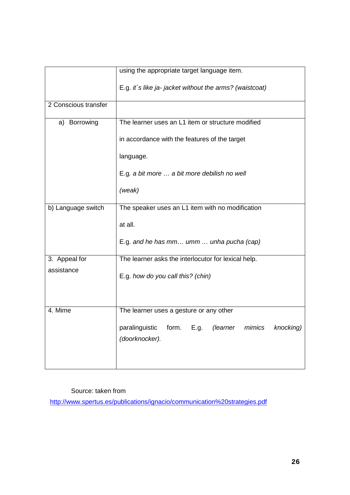|                      | using the appropriate target language item.                     |  |  |
|----------------------|-----------------------------------------------------------------|--|--|
|                      | E.g. it's like ja- jacket without the arms? (waistcoat)         |  |  |
| 2 Conscious transfer |                                                                 |  |  |
| a) Borrowing         | The learner uses an L1 item or structure modified               |  |  |
|                      | in accordance with the features of the target                   |  |  |
|                      | language.                                                       |  |  |
|                      | E.g. a bit more  a bit more debilish no well                    |  |  |
|                      | (weak)                                                          |  |  |
| b) Language switch   | The speaker uses an L1 item with no modification                |  |  |
|                      | at all.                                                         |  |  |
|                      | E.g. and he has mm umm  unha pucha (cap)                        |  |  |
| 3. Appeal for        | The learner asks the interlocutor for lexical help.             |  |  |
| assistance           | E.g. how do you call this? (chin)                               |  |  |
|                      |                                                                 |  |  |
| 4. Mime              | The learner uses a gesture or any other                         |  |  |
|                      | paralinguistic<br>form.<br>E.g.<br>(learner mimics<br>knocking) |  |  |
|                      | (doorknocker).                                                  |  |  |
|                      |                                                                 |  |  |
|                      |                                                                 |  |  |

# Source: taken from

<http://www.spertus.es/publications/ignacio/communication%20strategies.pdf>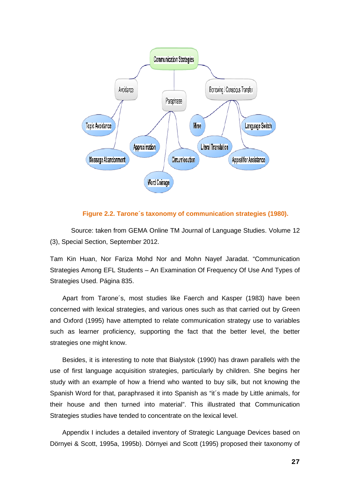

### **Figure 2.2. Tarone´s taxonomy of communication strategies (1980).**

Source: taken from GEMA Online TM Journal of Language Studies. Volume 12 (3), Special Section, September 2012.

Tam Kin Huan, Nor Fariza Mohd Nor and Mohn Nayef Jaradat. "Communication Strategies Among EFL Students – An Examination Of Frequency Of Use And Types of Strategies Used. Página 835.

Apart from Tarone´s, most studies like Faerch and Kasper (1983) have been concerned with lexical strategies, and various ones such as that carried out by Green and Oxford (1995) have attempted to relate communication strategy use to variables such as learner proficiency, supporting the fact that the better level, the better strategies one might know.

Besides, it is interesting to note that Bialystok (1990) has drawn parallels with the use of first language acquisition strategies, particularly by children. She begins her study with an example of how a friend who wanted to buy silk, but not knowing the Spanish Word for that, paraphrased it into Spanish as "it´s made by Little animals, for their house and then turned into material". This illustrated that Communication Strategies studies have tended to concentrate on the lexical level.

Appendix I includes a detailed inventory of Strategic Language Devices based on Dörnyei & Scott, 1995a, 1995b). Dörnyei and Scott (1995) proposed their taxonomy of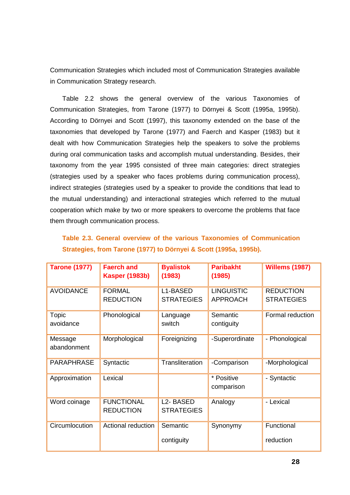Communication Strategies which included most of Communication Strategies available in Communication Strategy research.

Table 2.2 shows the general overview of the various Taxonomies of Communication Strategies, from Tarone (1977) to Dörnyei & Scott (1995a, 1995b). According to Dörnyei and Scott (1997), this taxonomy extended on the base of the taxonomies that developed by Tarone (1977) and Faerch and Kasper (1983) but it dealt with how Communication Strategies help the speakers to solve the problems during oral communication tasks and accomplish mutual understanding. Besides, their taxonomy from the year 1995 consisted of three main categories: direct strategies (strategies used by a speaker who faces problems during communication process), indirect strategies (strategies used by a speaker to provide the conditions that lead to the mutual understanding) and interactional strategies which referred to the mutual cooperation which make by two or more speakers to overcome the problems that face them through communication process.

|  |  |                                                                   | Table 2.3. General overview of the various Taxonomies of Communication |
|--|--|-------------------------------------------------------------------|------------------------------------------------------------------------|
|  |  | Strategies, from Tarone (1977) to Dörnyei & Scott (1995a, 1995b). |                                                                        |

| <b>Tarone (1977)</b>   | <b>Faerch and</b><br><b>Kasper (1983b)</b> | <b>Byalistok</b><br>(1983)                 | <b>Paribakht</b><br>(1985)           | <b>Willems (1987)</b>                 |
|------------------------|--------------------------------------------|--------------------------------------------|--------------------------------------|---------------------------------------|
| <b>AVOIDANCE</b>       | <b>FORMAL</b><br><b>REDUCTION</b>          | L1-BASED<br><b>STRATEGIES</b>              | <b>LINGUISTIC</b><br><b>APPROACH</b> | <b>REDUCTION</b><br><b>STRATEGIES</b> |
| Topic<br>avoidance     | Phonological                               | Language<br>switch                         | Semantic<br>contiguity               | Formal reduction                      |
| Message<br>abandonment | Morphological                              | Foreignizing                               | -Superordinate                       | - Phonological                        |
| <b>PARAPHRASE</b>      | Syntactic                                  | <b>Transliteration</b>                     | -Comparison                          | -Morphological                        |
| Approximation          | Lexical                                    |                                            | * Positive<br>comparison             | - Syntactic                           |
| Word coinage           | <b>FUNCTIONAL</b><br><b>REDUCTION</b>      | L <sub>2</sub> -BASED<br><b>STRATEGIES</b> | Analogy                              | - Lexical                             |
| Circumlocution         | Actional reduction                         | Semantic<br>contiguity                     | Synonymy                             | Functional<br>reduction               |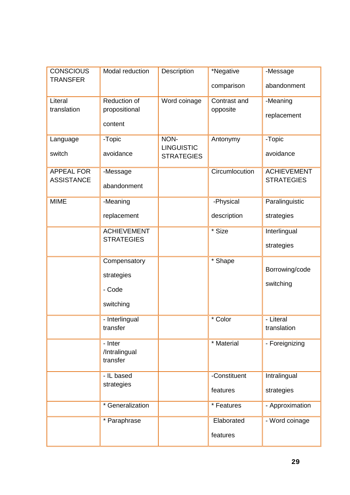| <b>CONSCIOUS</b>  | Modal reduction          | Description                            | *Negative      | -Message           |
|-------------------|--------------------------|----------------------------------------|----------------|--------------------|
| <b>TRANSFER</b>   |                          |                                        | comparison     | abandonment        |
| Literal           | Reduction of             | Word coinage                           | Contrast and   | -Meaning           |
| translation       | propositional            |                                        | opposite       | replacement        |
|                   | content                  |                                        |                |                    |
| Language          | -Topic                   | NON-                                   | Antonymy       | -Topic             |
| switch            | avoidance                | <b>LINGUISTIC</b><br><b>STRATEGIES</b> |                | avoidance          |
| <b>APPEAL FOR</b> | -Message                 |                                        | Circumlocution | <b>ACHIEVEMENT</b> |
| <b>ASSISTANCE</b> | abandonment              |                                        |                | <b>STRATEGIES</b>  |
| <b>MIME</b>       | -Meaning                 |                                        | -Physical      | Paralinguistic     |
|                   | replacement              |                                        | description    | strategies         |
|                   | <b>ACHIEVEMENT</b>       |                                        | * Size         | Interlingual       |
|                   | <b>STRATEGIES</b>        |                                        |                | strategies         |
|                   | Compensatory             |                                        | * Shape        |                    |
|                   | strategies               |                                        |                | Borrowing/code     |
|                   | - Code                   |                                        |                | switching          |
|                   | switching                |                                        |                |                    |
|                   | - Interlingual           |                                        | * Color        | - Literal          |
|                   | transfer                 |                                        |                | translation        |
|                   | - Inter<br>/Intralingual |                                        | * Material     | - Foreignizing     |
|                   | transfer                 |                                        |                |                    |
|                   | - IL based               |                                        | -Constituent   | Intralingual       |
|                   | strategies               |                                        | features       | strategies         |
|                   | * Generalization         |                                        | * Features     | - Approximation    |
|                   | * Paraphrase             |                                        | Elaborated     | - Word coinage     |
|                   |                          |                                        | features       |                    |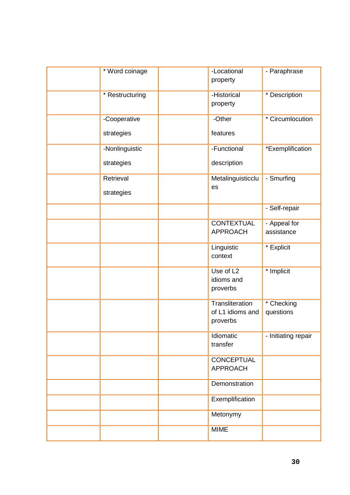| * Word coinage             | -Locational<br>property                         | - Paraphrase                                                   |
|----------------------------|-------------------------------------------------|----------------------------------------------------------------|
| * Restructuring            | -Historical<br>property                         | * Description                                                  |
| -Cooperative<br>strategies | -Other<br>features                              | * Circumlocution                                               |
| -Nonlinguistic             | -Functional                                     | *Exemplification                                               |
| strategies                 | description                                     |                                                                |
| Retrieval<br>strategies    | es                                              | - Smurfing<br>Metalinguisticclu                                |
|                            |                                                 | - Self-repair                                                  |
|                            | <b>APPROACH</b>                                 | <b>CONTEXTUAL</b><br>- Appeal for<br>assistance                |
|                            | Linguistic<br>context                           | * Explicit                                                     |
|                            | Use of L <sub>2</sub><br>idioms and<br>proverbs | * Implicit                                                     |
|                            | proverbs                                        | Transliteration<br>* Checking<br>of L1 idioms and<br>questions |
|                            | Idiomatic<br>transfer                           | - Initiating repair                                            |
|                            | <b>APPROACH</b>                                 | CONCEPTUAL                                                     |
|                            |                                                 | Demonstration                                                  |
|                            |                                                 | Exemplification                                                |
|                            | Metonymy                                        |                                                                |
|                            | <b>MIME</b>                                     |                                                                |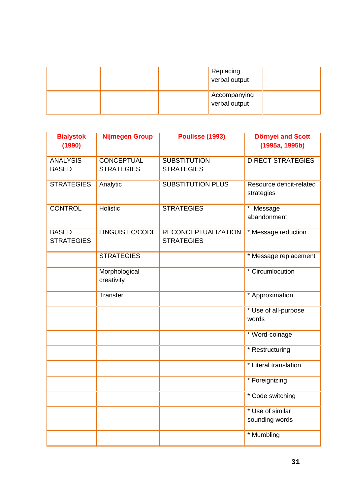| Replacing<br>verbal output    |  |
|-------------------------------|--|
| Accompanying<br>verbal output |  |

| <b>Bialystok</b><br>(1990)        | <b>Nijmegen Group</b>                  | Poulisse (1993)                                 | <b>Dörnyei and Scott</b><br>(1995a, 1995b) |
|-----------------------------------|----------------------------------------|-------------------------------------------------|--------------------------------------------|
| <b>ANALYSIS-</b><br><b>BASED</b>  | <b>CONCEPTUAL</b><br><b>STRATEGIES</b> | <b>SUBSTITUTION</b><br><b>STRATEGIES</b>        | <b>DIRECT STRATEGIES</b>                   |
| <b>STRATEGIES</b>                 | Analytic                               | <b>SUBSTITUTION PLUS</b>                        | Resource deficit-related<br>strategies     |
| <b>CONTROL</b>                    | Holistic                               | <b>STRATEGIES</b>                               | $\star$<br>Message<br>abandonment          |
| <b>BASED</b><br><b>STRATEGIES</b> | LINGUISTIC/CODE                        | <b>RECONCEPTUALIZATION</b><br><b>STRATEGIES</b> | * Message reduction                        |
|                                   | <b>STRATEGIES</b>                      |                                                 | * Message replacement                      |
|                                   | Morphological<br>creativity            |                                                 | * Circumlocution                           |
|                                   | Transfer                               |                                                 | * Approximation                            |
|                                   |                                        |                                                 | * Use of all-purpose<br>words              |
|                                   |                                        |                                                 | * Word-coinage                             |
|                                   |                                        |                                                 | * Restructuring                            |
|                                   |                                        |                                                 | * Literal translation                      |
|                                   |                                        |                                                 | * Foreignizing                             |
|                                   |                                        |                                                 | * Code switching                           |
|                                   |                                        |                                                 | * Use of similar<br>sounding words         |
|                                   |                                        |                                                 | * Mumbling                                 |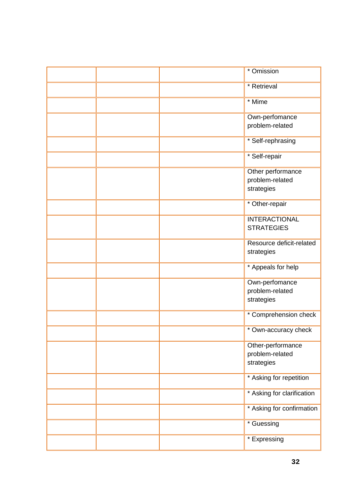|  | * Omission                 |
|--|----------------------------|
|  | * Retrieval                |
|  | * Mime                     |
|  | Own-perfomance             |
|  | problem-related            |
|  | * Self-rephrasing          |
|  | * Self-repair              |
|  | Other performance          |
|  | problem-related            |
|  | strategies                 |
|  | * Other-repair             |
|  | <b>INTERACTIONAL</b>       |
|  | <b>STRATEGIES</b>          |
|  | Resource deficit-related   |
|  | strategies                 |
|  | * Appeals for help         |
|  | Own-perfomance             |
|  | problem-related            |
|  | strategies                 |
|  | * Comprehension check      |
|  | * Own-accuracy check       |
|  | Other-performance          |
|  | problem-related            |
|  | strategies                 |
|  | * Asking for repetition    |
|  | * Asking for clarification |
|  | * Asking for confirmation  |
|  | * Guessing                 |
|  | * Expressing               |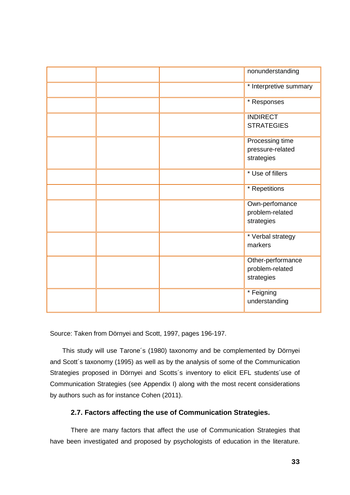|  | nonunderstanding                                   |
|--|----------------------------------------------------|
|  | * Interpretive summary                             |
|  | * Responses                                        |
|  | <b>INDIRECT</b><br><b>STRATEGIES</b>               |
|  | Processing time<br>pressure-related<br>strategies  |
|  | * Use of fillers                                   |
|  | * Repetitions                                      |
|  | Own-perfomance<br>problem-related<br>strategies    |
|  | * Verbal strategy<br>markers                       |
|  | Other-performance<br>problem-related<br>strategies |
|  | * Feigning<br>understanding                        |

Source: Taken from Dörnyei and Scott, 1997, pages 196-197.

This study will use Tarone´s (1980) taxonomy and be complemented by Dörnyei and Scott´s taxonomy (1995) as well as by the analysis of some of the Communication Strategies proposed in Dörnyei and Scotts´s inventory to elicit EFL students´use of Communication Strategies (see Appendix I) along with the most recent considerations by authors such as for instance Cohen (2011).

# **2.7. Factors affecting the use of Communication Strategies.**

There are many factors that affect the use of Communication Strategies that have been investigated and proposed by psychologists of education in the literature.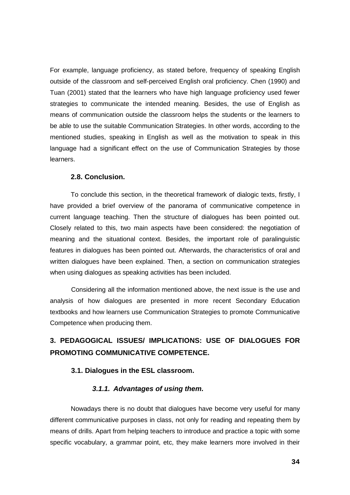For example, language proficiency, as stated before, frequency of speaking English outside of the classroom and self-perceived English oral proficiency. Chen (1990) and Tuan (2001) stated that the learners who have high language proficiency used fewer strategies to communicate the intended meaning. Besides, the use of English as means of communication outside the classroom helps the students or the learners to be able to use the suitable Communication Strategies. In other words, according to the mentioned studies, speaking in English as well as the motivation to speak in this language had a significant effect on the use of Communication Strategies by those learners.

### **2.8. Conclusion.**

To conclude this section, in the theoretical framework of dialogic texts, firstly, I have provided a brief overview of the panorama of communicative competence in current language teaching. Then the structure of dialogues has been pointed out. Closely related to this, two main aspects have been considered: the negotiation of meaning and the situational context. Besides, the important role of paralinguistic features in dialogues has been pointed out. Afterwards, the characteristics of oral and written dialogues have been explained. Then, a section on communication strategies when using dialogues as speaking activities has been included.

Considering all the information mentioned above, the next issue is the use and analysis of how dialogues are presented in more recent Secondary Education textbooks and how learners use Communication Strategies to promote Communicative Competence when producing them.

# **3. PEDAGOGICAL ISSUES/ IMPLICATIONS: USE OF DIALOGUES FOR PROMOTING COMMUNICATIVE COMPETENCE.**

### **3.1. Dialogues in the ESL classroom.**

## *3.1.1. Advantages of using them.*

Nowadays there is no doubt that dialogues have become very useful for many different communicative purposes in class, not only for reading and repeating them by means of drills. Apart from helping teachers to introduce and practice a topic with some specific vocabulary, a grammar point, etc, they make learners more involved in their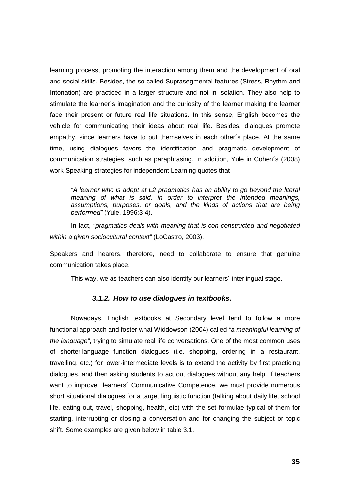learning process, promoting the interaction among them and the development of oral and social skills. Besides, the so called Suprasegmental features (Stress, Rhythm and Intonation) are practiced in a larger structure and not in isolation. They also help to stimulate the learner´s imagination and the curiosity of the learner making the learner face their present or future real life situations. In this sense, English becomes the vehicle for communicating their ideas about real life. Besides, dialogues promote empathy, since learners have to put themselves in each other´s place. At the same time, using dialogues favors the identification and pragmatic development of communication strategies, such as paraphrasing. In addition, Yule in Cohen´s (2008) work Speaking strategies for independent Learning quotes that

*"A learner who is adept at L2 pragmatics has an ability to go beyond the literal meaning of what is said, in order to interpret the intended meanings, assumptions, purposes, or goals, and the kinds of actions that are being performed"* (Yule, 1996:3-4).

In fact, *"pragmatics deals with meaning that is con-constructed and negotiated within a given sociocultural context"* (LoCastro, 2003).

Speakers and hearers, therefore, need to collaborate to ensure that genuine communication takes place.

This way, we as teachers can also identify our learners´ interlingual stage.

### *3.1.2. How to use dialogues in textbooks.*

Nowadays, English textbooks at Secondary level tend to follow a more functional approach and foster what Widdowson (2004) called *"a meaningful learning of the language"*, trying to simulate real life conversations. One of the most common uses of shorter language function dialogues (i.e. shopping, ordering in a restaurant, travelling, etc.) for lower-intermediate levels is to extend the activity by first practicing dialogues, and then asking students to act out dialogues without any help. If teachers want to improve learners´ Communicative Competence, we must provide numerous short situational dialogues for a target linguistic function (talking about daily life, school life, eating out, travel, shopping, health, etc) with the set formulae typical of them for starting, interrupting or closing a conversation and for changing the subject or topic shift. Some examples are given below in table 3.1.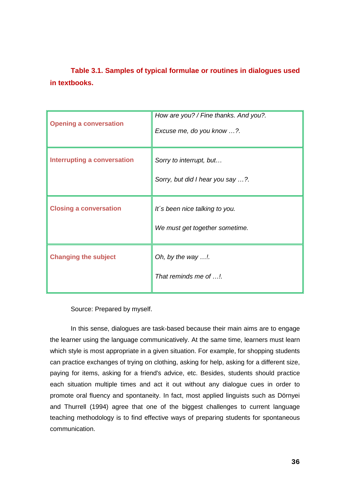**Table 3.1. Samples of typical formulae or routines in dialogues used in textbooks.** 

| <b>Opening a conversation</b>      | How are you? / Fine thanks. And you?.<br>Excuse me, do you know ?. |
|------------------------------------|--------------------------------------------------------------------|
| <b>Interrupting a conversation</b> | Sorry to interrupt, but<br>Sorry, but did I hear you say ?.        |
| <b>Closing a conversation</b>      | It's been nice talking to you.<br>We must get together sometime.   |
| <b>Changing the subject</b>        | Oh, by the way !.<br>That reminds me of !.                         |

Source: Prepared by myself.

In this sense, dialogues are task-based because their main aims are to engage the learner using the language communicatively. At the same time, learners must learn which style is most appropriate in a given situation. For example, for shopping students can practice exchanges of trying on clothing, asking for help, asking for a different size, paying for items, asking for a friend's advice, etc. Besides, students should practice each situation multiple times and act it out without any dialogue cues in order to promote oral fluency and spontaneity. In fact, most applied linguists such as Dörnyei and Thurrell (1994) agree that one of the biggest challenges to current language teaching methodology is to find effective ways of preparing students for spontaneous communication.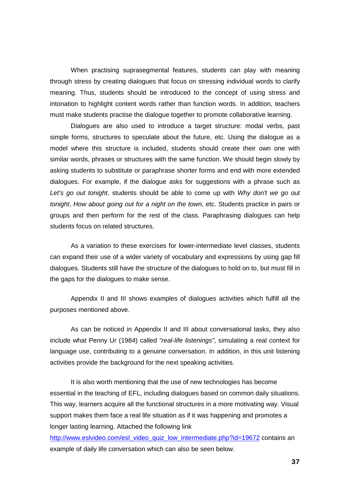When practising suprasegmental features, students can play with meaning through stress by creating dialogues that focus on stressing individual words to clarify meaning. Thus, students should be introduced to the concept of using stress and intonation to highlight content words rather than function words. In addition, teachers must make students practise the dialogue together to promote collaborative learning.

Dialogues are also used to introduce a target structure: modal verbs, past simple forms, structures to speculate about the future, etc. Using the dialogue as a model where this structure is included, students should create their own one with similar words, phrases or structures with the same function. We should begin slowly by asking students to substitute or paraphrase shorter forms and end with more extended dialogues. For example, if the dialogue asks for suggestions with a phrase such as *Let's go out tonight*, students should be able to come up with *Why don't we go out tonight*, *How about going out for a night on the town*, etc. Students practice in pairs or groups and then perform for the rest of the class. Paraphrasing dialogues can help students focus on related structures.

As a variation to these exercises for lower-intermediate level classes, students can expand their use of a wider variety of vocabulary and expressions by using gap fill dialogues. Students still have the structure of the dialogues to hold on to, but must fill in the gaps for the dialogues to make sense.

Appendix II and III shows examples of dialogues activities which fulfill all the purposes mentioned above.

As can be noticed in Appendix II and III about conversational tasks, they also include what Penny Ur (1984) called *"real-life listenings"*, simulating a real context for language use, contributing to a genuine conversation. In addition, in this unit listening activities provide the background for the next speaking activities.

It is also worth mentioning that the use of new technologies has become essential in the teaching of EFL, including dialogues based on common daily situations. This way, learners acquire all the functional structures in a more motivating way. Visual support makes them face a real life situation as if it was happening and promotes a longer lasting learning. Attached the following link

[http://www.eslvideo.com/esl\\_video\\_quiz\\_low\\_intermediate.php?id=19672](http://www.eslvideo.com/esl_video_quiz_low_intermediate.php?id=19672) contains an example of daily life conversation which can also be seen below.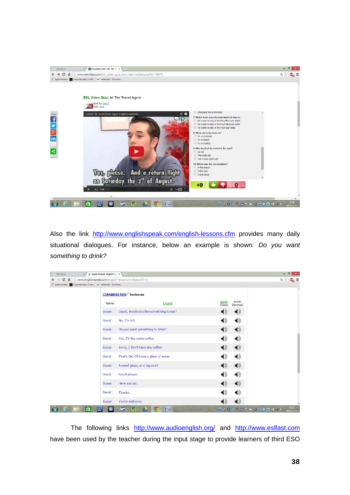

Also the link <http://www.englishspeak.com/english-lessons.cfm> provides many daily situational dialogues. For instance, below an example is shown: *Do you want something to drink?*

| С<br>ñ<br>Aplicaciones La Linquisticator   Com WR estimular - Dicciona |        | Nww.englishspeak.com/english-lesson.cfm?lessonID=6 |                                      | 52.62<br>$\mathbf{e}_i =$ |
|------------------------------------------------------------------------|--------|----------------------------------------------------|--------------------------------------|---------------------------|
|                                                                        |        | <b>CONVERSATION<sup>C</sup></b> Sentences          |                                      |                           |
|                                                                        | Name:  | English                                            | Audio<br>Audio<br>(Slow)<br>(Normal) |                           |
|                                                                        | Susan: | David, would you like something to eat?            | $\blacklozenge$<br>$\blacklozenge$   |                           |
|                                                                        | David  | No, I'm full.                                      | $\blacklozenge$<br>$\blacklozenge$   |                           |
|                                                                        | Susan  | Do you want something to drink?                    | $\blacklozenge$<br>$\blacklozenge$   |                           |
|                                                                        | David: | Yes, I'd like some coffee.                         | $\blacklozenge$<br>$\blacklozenge$   |                           |
|                                                                        | Susan: | Sorry, I don't have any coffee.                    | $\blacklozenge$<br>$\blacklozenge$   |                           |
|                                                                        | David: | That's OK. I'll have a glass of water.             | $\blacklozenge$<br>◀ঠ                |                           |
|                                                                        | Susan: | A small glass, or a big one?                       | $\blacklozenge$<br>$\blacklozenge$   |                           |
|                                                                        | David  | Small please.                                      | $\blacklozenge$<br>$\blacklozenge$   |                           |
|                                                                        | Susan: | Here you go.                                       | (♦<br>$\blacklozenge$                |                           |
|                                                                        | David: | Thanks.                                            | ♦<br>$\blacklozenge$                 |                           |
|                                                                        | Susan: | You're welcome.                                    | $\blacklozenge$<br>◀ঠ                |                           |

The following links <http://www.audioenglish.org/> and [http://www.eslfast.com](http://www.eslfast.com/) have been used by the teacher during the input stage to provide learners of third ESO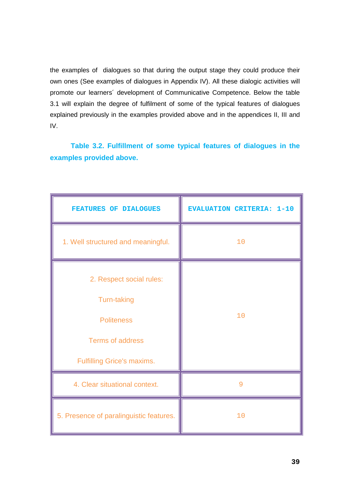the examples of dialogues so that during the output stage they could produce their own ones (See examples of dialogues in Appendix IV). All these dialogic activities will promote our learners´ development of Communicative Competence. Below the table 3.1 will explain the degree of fulfilment of some of the typical features of dialogues explained previously in the examples provided above and in the appendices II, III and IV.

**Table 3.2. Fulfillment of some typical features of dialogues in the examples provided above.** 

| <b>FEATURES OF DIALOGUES</b>            | <b>EVALUATION CRITERIA: 1-10</b> |  |
|-----------------------------------------|----------------------------------|--|
| 1. Well structured and meaningful.      | 10                               |  |
| 2. Respect social rules:                |                                  |  |
| Turn-taking                             |                                  |  |
| <b>Politeness</b>                       | 10                               |  |
| <b>Terms of address</b>                 |                                  |  |
| <b>Fulfilling Grice's maxims.</b>       |                                  |  |
| 4. Clear situational context.           | 9                                |  |
| 5. Presence of paralinguistic features. | 10                               |  |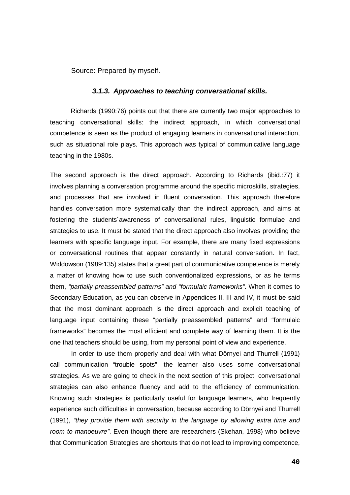Source: Prepared by myself.

### *3.1.3. Approaches to teaching conversational skills.*

Richards (1990:76) points out that there are currently two major approaches to teaching conversational skills: the indirect approach, in which conversational competence is seen as the product of engaging learners in conversational interaction, such as situational role plays. This approach was typical of communicative language teaching in the 1980s.

The second approach is the direct approach. According to Richards (ibid.:77) it involves planning a conversation programme around the specific microskills, strategies, and processes that are involved in fluent conversation. This approach therefore handles conversation more systematically than the indirect approach, and aims at fostering the students´awareness of conversational rules, linguistic formulae and strategies to use. It must be stated that the direct approach also involves providing the learners with specific language input. For example, there are many fixed expressions or conversational routines that appear constantly in natural conversation. In fact, Widdowson (1989:135) states that a great part of communicative competence is merely a matter of knowing how to use such conventionalized expressions, or as he terms them, *"partially preassembled patterns" and "formulaic frameworks"*. When it comes to Secondary Education, as you can observe in Appendices II, III and IV, it must be said that the most dominant approach is the direct approach and explicit teaching of language input containing these "partially preassembled patterns" and "formulaic frameworks" becomes the most efficient and complete way of learning them. It is the one that teachers should be using, from my personal point of view and experience.

In order to use them properly and deal with what Dörnyei and Thurrell (1991) call communication "trouble spots", the learner also uses some conversational strategies. As we are going to check in the next section of this project, conversational strategies can also enhance fluency and add to the efficiency of communication. Knowing such strategies is particularly useful for language learners, who frequently experience such difficulties in conversation, because according to Dörnyei and Thurrell (1991), *"they provide them with security in the language by allowing extra time and room to manoeuvre"*. Even though there are researchers (Skehan, 1998) who believe that Communication Strategies are shortcuts that do not lead to improving competence,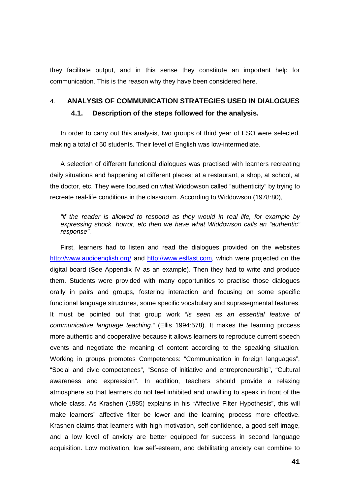they facilitate output, and in this sense they constitute an important help for communication. This is the reason why they have been considered here.

# 4. **ANALYSIS OF COMMUNICATION STRATEGIES USED IN DIALOGUES 4.1. Description of the steps followed for the analysis.**

In order to carry out this analysis, two groups of third year of ESO were selected, making a total of 50 students. Their level of English was low-intermediate.

A selection of different functional dialogues was practised with learners recreating daily situations and happening at different places: at a restaurant, a shop, at school, at the doctor, etc. They were focused on what Widdowson called "authenticity" by trying to recreate real-life conditions in the classroom. According to Widdowson (1978:80),

*"if the reader is allowed to respond as they would in real life, for example by expressing shock, horror, etc then we have what Widdowson calls an "authentic" response"*.

First, learners had to listen and read the dialogues provided on the websites <http://www.audioenglish.org/> and [http://www.eslfast.com,](http://www.eslfast.com/) which were projected on the digital board (See Appendix IV as an example). Then they had to write and produce them. Students were provided with many opportunities to practise those dialogues orally in pairs and groups, fostering interaction and focusing on some specific functional language structures, some specific vocabulary and suprasegmental features. It must be pointed out that group work "*is seen as an essential feature of communicative language teaching."* (Ellis 1994:578). It makes the learning process more authentic and cooperative because it allows learners to reproduce current speech events and negotiate the meaning of content according to the speaking situation. Working in groups promotes Competences: "Communication in foreign languages", "Social and civic competences", "Sense of initiative and entrepreneurship", "Cultural awareness and expression". In addition, teachers should provide a relaxing atmosphere so that learners do not feel inhibited and unwilling to speak in front of the whole class. As Krashen (1985) explains in his "Affective Filter Hypothesis", this will make learners´ affective filter be lower and the learning process more effective. Krashen claims that learners with high motivation, self-confidence, a good self-image, and a low level of anxiety are better equipped for success in second language acquisition. Low motivation, low self-esteem, and debilitating anxiety can combine to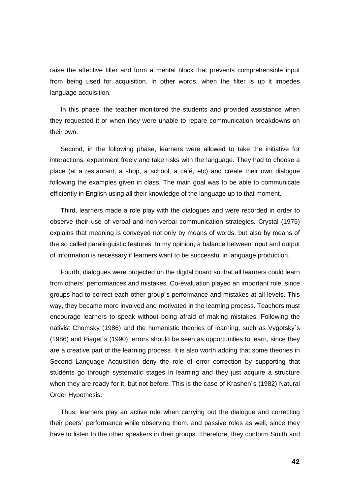raise the affective filter and form a mental block that prevents comprehensible input from being used for acquisition. In other words, when the filter is up it impedes language acquisition.

In this phase, the teacher monitored the students and provided assistance when they requested it or when they were unable to repare communication breakdowns on their own.

Second, in the following phase, learners were allowed to take the initiative for interactions, experiment freely and take risks with the language. They had to choose a place (at a restaurant, a shop, a school, a café, etc) and create their own dialogue following the examples given in class. The main goal was to be able to communicate efficiently in English using all their knowledge of the language up to that moment.

Third, learners made a role play with the dialogues and were recorded in order to observe their use of verbal and non-verbal communication strategies. Crystal (1975) explains that meaning is conveyed not only by means of words, but also by means of the so called paralinguistic features. In my opinion, a balance between input and output of information is necessary if learners want to be successful in language production.

Fourth, dialogues were projected on the digital board so that all learners could learn from others´ performances and mistakes. Co-evaluation played an important role, since groups had to correct each other group´s performance and mistakes at all levels. This way, they became more involved and motivated in the learning process. Teachers must encourage learners to speak without being afraid of making mistakes. Following the nativist Chomsky (1986) and the humanistic theories of learning, such as Vygotsky´s (1986) and Piaget´s (1990), errors should be seen as opportunities to learn, since they are a creative part of the learning process. It is also worth adding that some theories in Second Language Acquisition deny the role of error correction by supporting that students go through systematic stages in learning and they just acquire a structure when they are ready for it, but not before. This is the case of Krashen´s (1982) Natural Order Hypothesis.

Thus, learners play an active role when carrying out the dialogue and correcting their peers´ performance while observing them, and passive roles as well, since they have to listen to the other speakers in their groups. Therefore, they conform Smith and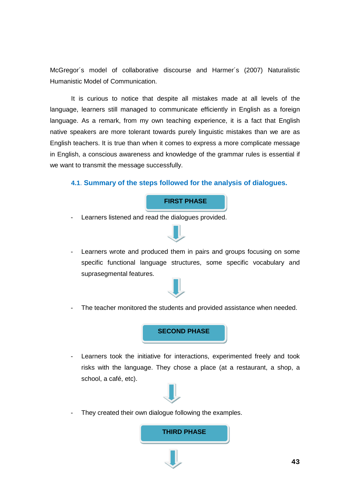McGregor´s model of collaborative discourse and Harmer´s (2007) Naturalistic Humanistic Model of Communication.

It is curious to notice that despite all mistakes made at all levels of the language, learners still managed to communicate efficiently in English as a foreign language. As a remark, from my own teaching experience, it is a fact that English native speakers are more tolerant towards purely linguistic mistakes than we are as English teachers. It is true than when it comes to express a more complicate message in English, a conscious awareness and knowledge of the grammar rules is essential if we want to transmit the message successfully.

# **4.1**. **Summary of the steps followed for the analysis of dialogues.**

## **FIRST PHASE**

- Learners listened and read the dialogues provided.



- Learners wrote and produced them in pairs and groups focusing on some specific functional language structures, some specific vocabulary and suprasegmental features.



- The teacher monitored the students and provided assistance when needed.

**SECOND PHASE**

- Learners took the initiative for interactions, experimented freely and took risks with the language. They chose a place (at a restaurant, a shop, a school, a café, etc).



They created their own dialogue following the examples.

**THIRD PHASE**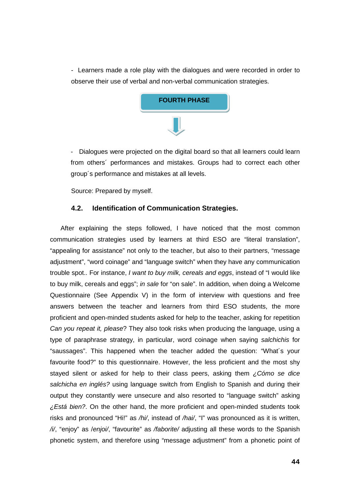- Learners made a role play with the dialogues and were recorded in order to observe their use of verbal and non-verbal communication strategies.



- Dialogues were projected on the digital board so that all learners could learn from others´ performances and mistakes. Groups had to correct each other group´s performance and mistakes at all levels.

Source: Prepared by myself.

# **4.2. Identification of Communication Strategies.**

After explaining the steps followed, I have noticed that the most common communication strategies used by learners at third ESO are "literal translation", "appealing for assistance" not only to the teacher, but also to their partners, "message adjustment", "word coinage" and "language switch" when they have any communication trouble spot.. For instance, *I want to buy milk, cereals and eggs*, instead of "I would like to buy milk, cereals and eggs"; *in sale* for "on sale". In addition, when doing a Welcome Questionnaire (See Appendix V) in the form of interview with questions and free answers between the teacher and learners from third ESO students, the more proficient and open-minded students asked for help to the teacher, asking for repetition *Can you repeat it, please*? They also took risks when producing the language, using a type of paraphrase strategy, in particular, word coinage when saying *salchichis* for "saussages". This happened when the teacher added the question: "What´s your favourite food?" to this questionnaire. However, the less proficient and the most shy stayed silent or asked for help to their class peers, asking them *¿Cómo se dice salchicha en inglés?* using language switch from English to Spanish and during their output they constantly were unsecure and also resorted to "language switch" asking *¿Está bien?*. On the other hand, the more proficient and open-minded students took risks and pronounced "Hi!" as */hi/*, instead of */hai/*, "I" was pronounced as it is written, */i/*, "enjoy" as /*enjoi/*, "favourite" as */faborite/* adjusting all these words to the Spanish phonetic system, and therefore using "message adjustment" from a phonetic point of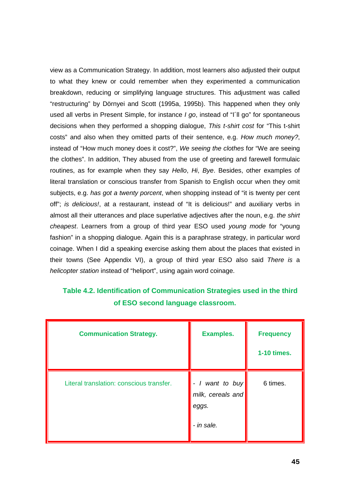view as a Communication Strategy. In addition, most learners also adjusted their output to what they knew or could remember when they experimented a communication breakdown, reducing or simplifying language structures. This adjustment was called "restructuring" by Dörnyei and Scott (1995a, 1995b). This happened when they only used all verbs in Present Simple, for instance *I go*, instead of "I´ll go" for spontaneous decisions when they performed a shopping dialogue, *This t-shirt cost* for "This t-shirt costs" and also when they omitted parts of their sentence, e.g. *How much money?*, instead of "How much money does it cost?", *We seeing the clothes* for "We are seeing the clothes". In addition, They abused from the use of greeting and farewell formulaic routines, as for example when they say *Hello*, *Hi*, *Bye*. Besides, other examples of literal translation or conscious transfer from Spanish to English occur when they omit subjects, e.g. *has got a twenty porcent*, when shopping instead of "it is twenty per cent off"; *is delicious!*, at a restaurant, instead of "It is delicious!" and auxiliary verbs in almost all their utterances and place superlative adjectives after the noun, e.g. *the shirt cheapest*. Learners from a group of third year ESO used *young mode* for "young fashion" in a shopping dialogue. Again this is a paraphrase strategy, in particular word coinage. When I did a speaking exercise asking them about the places that existed in their towns (See Appendix VI), a group of third year ESO also said *There is* a *helicopter station* instead of "heliport", using again word coinage.

# **Table 4.2. Identification of Communication Strategies used in the third of ESO second language classroom.**

| <b>Communication Strategy.</b>           | <b>Examples.</b>                                            | <b>Frequency</b><br>1-10 times. |
|------------------------------------------|-------------------------------------------------------------|---------------------------------|
| Literal translation: conscious transfer. | - I want to buy<br>milk, cereals and<br>eggs.<br>- in sale. | 6 times.                        |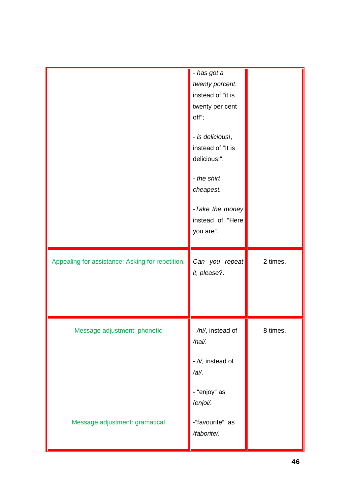|                                                  | - has got a<br>twenty porcent,<br>instead of "it is<br>twenty per cent<br>off";<br>- is delicious!, |          |
|--------------------------------------------------|-----------------------------------------------------------------------------------------------------|----------|
|                                                  | instead of "It is<br>delicious!".<br>- the shirt<br>cheapest.<br>-Take the money                    |          |
|                                                  | instead of "Here<br>you are".                                                                       |          |
| Appealing for assistance: Asking for repetition. | Can you repeat<br>it, please?.                                                                      | 2 times. |
| Message adjustment: phonetic                     | - /hi/, instead of<br>/hai/.                                                                        | 8 times. |
|                                                  | - /i/, instead of<br>/ai/.                                                                          |          |
|                                                  | - "enjoy" as<br>/enjoi/.                                                                            |          |
| Message adjustment: gramatical                   | -"favourite" as<br>/faborite/.                                                                      |          |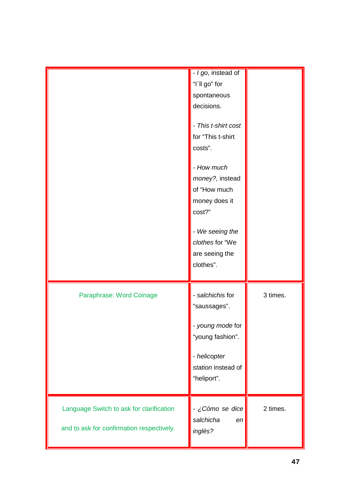|                                                                                       | - I go, instead of<br>"I'll go" for<br>spontaneous<br>decisions.<br>- This t-shirt cost<br>for "This t-shirt<br>costs".<br>- How much<br>money?, instead<br>of "How much<br>money does it<br>cost?"<br>- We seeing the<br>clothes for "We<br>are seeing the<br>clothes". |          |
|---------------------------------------------------------------------------------------|--------------------------------------------------------------------------------------------------------------------------------------------------------------------------------------------------------------------------------------------------------------------------|----------|
| Paraphrase: Word Coinage                                                              | - salchichis for<br>"saussages".<br>- young mode for<br>"young fashion".<br>- helicopter<br>station instead of<br>"heliport".                                                                                                                                            | 3 times. |
| Language Switch to ask for clarification<br>and to ask for confirmation respectively. | - ¿Cómo se dice<br>salchicha<br>en<br>inglés?                                                                                                                                                                                                                            | 2 times. |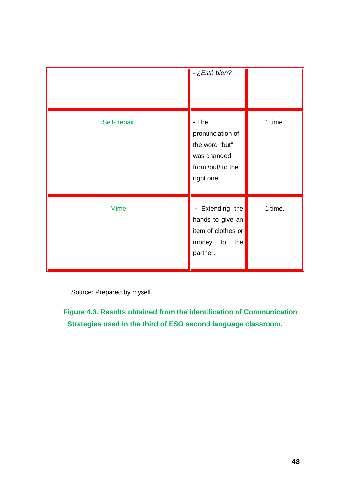|             | - ¿Está bien?                                                                                         |         |
|-------------|-------------------------------------------------------------------------------------------------------|---------|
| Self-repair | - The<br>pronunciation of<br>the word "but"<br>was changed<br>from /but/ to the<br>right one.         | 1 time. |
| <b>Mime</b> | Extending the<br>$\blacksquare$<br>hands to give an<br>item of clothes or<br>money to the<br>partner. | 1 time. |

Source: Prepared by myself.

**Figure 4.3. Results obtained from the identification of Communication Strategies used in the third of ESO second language classroom.**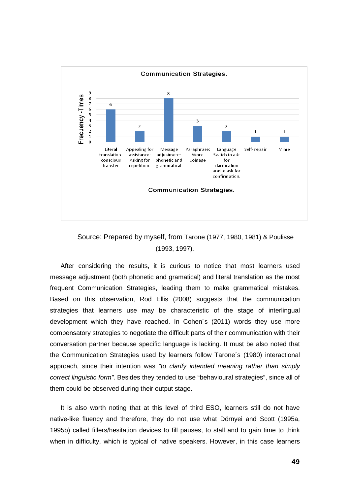

# Source: Prepared by myself, from Tarone (1977, 1980, 1981) & Poulisse (1993, 1997).

After considering the results, it is curious to notice that most learners used message adjustment (both phonetic and gramatical) and literal translation as the most frequent Communication Strategies, leading them to make grammatical mistakes. Based on this observation, [Rod Ellis](http://en.wikipedia.org/wiki/Rod_Ellis) (2008) suggests that the communication strategies that learners use may be characteristic of the stage of interlingual development which they have reached. In Cohen´s (2011) words they use more compensatory strategies to negotiate the difficult parts of their communication with their conversation partner because specific language is lacking. It must be also noted that the Communication Strategies used by learners follow Tarone´s (1980) interactional approach, since their intention was *"to clarify intended meaning rather than simply correct linguistic form"*. Besides they tended to use "behavioural strategies", since all of them could be observed during their output stage.

It is also worth noting that at this level of third ESO, learners still do not have native-like fluency and therefore, they do not use what Dörnyei and Scott (1995a, 1995b) called fillers/hesitation devices to fill pauses, to stall and to gain time to think when in difficulty, which is typical of native speakers. However, in this case learners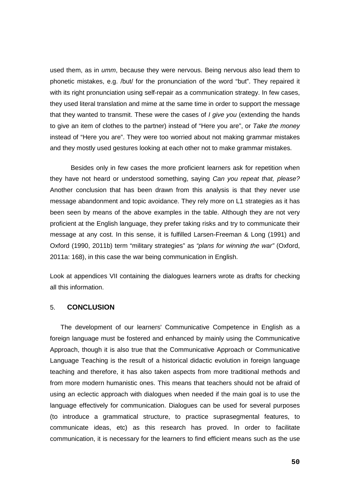used them, as in *umm*, because they were nervous. Being nervous also lead them to phonetic mistakes, e.g. /but/ for the pronunciation of the word "but". They repaired it with its right pronunciation using self-repair as a communication strategy. In few cases, they used literal translation and mime at the same time in order to support the message that they wanted to transmit. These were the cases of *I give you* (extending the hands to give an item of clothes to the partner) instead of "Here you are", or *Take the money*  instead of "Here you are". They were too worried about not making grammar mistakes and they mostly used gestures looking at each other not to make grammar mistakes.

Besides only in few cases the more proficient learners ask for repetition when they have not heard or understood something, saying *Can you repeat that, please?* Another conclusion that has been drawn from this analysis is that they never use message abandonment and topic avoidance. They rely more on L1 strategies as it has been seen by means of the above examples in the table. Although they are not very proficient at the English language, they prefer taking risks and try to communicate their message at any cost. In this sense, it is fulfilled Larsen-Freeman & Long (1991) and Oxford (1990, 2011b) term "military strategies" as *"plans for winning the war"* (Oxford, 2011a: 168), in this case the war being communication in English.

Look at appendices VII containing the dialogues learners wrote as drafts for checking all this information.

# 5. **CONCLUSION**

The development of our learners' Communicative Competence in English as a foreign language must be fostered and enhanced by mainly using the Communicative Approach, though it is also true that the Communicative Approach or Communicative Language Teaching is the result of a historical didactic evolution in foreign language teaching and therefore, it has also taken aspects from more traditional methods and from more modern humanistic ones. This means that teachers should not be afraid of using an eclectic approach with dialogues when needed if the main goal is to use the language effectively for communication. Dialogues can be used for several purposes (to introduce a grammatical structure, to practice suprasegmental features, to communicate ideas, etc) as this research has proved. In order to facilitate communication, it is necessary for the learners to find efficient means such as the use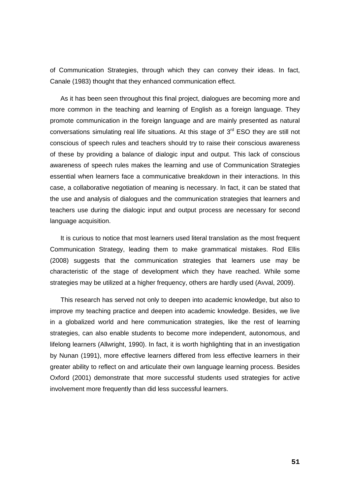of Communication Strategies, through which they can convey their ideas. In fact, Canale (1983) thought that they enhanced communication effect.

As it has been seen throughout this final project, dialogues are becoming more and more common in the teaching and learning of English as a foreign language. They promote communication in the foreign language and are mainly presented as natural conversations simulating real life situations. At this stage of  $3<sup>rd</sup>$  ESO they are still not conscious of speech rules and teachers should try to raise their conscious awareness of these by providing a balance of dialogic input and output. This lack of conscious awareness of speech rules makes the learning and use of Communication Strategies essential when learners face a communicative breakdown in their interactions. In this case, a collaborative negotiation of meaning is necessary. In fact, it can be stated that the use and analysis of dialogues and the communication strategies that learners and teachers use during the dialogic input and output process are necessary for second language acquisition.

It is curious to notice that most learners used literal translation as the most frequent Communication Strategy, leading them to make grammatical mistakes. [Rod Ellis](http://en.wikipedia.org/wiki/Rod_Ellis) (2008) suggests that the communication strategies that learners use may be characteristic of the stage of development which they have reached. While some strategies may be utilized at a higher frequency, others are hardly used (Avval, 2009).

This research has served not only to deepen into academic knowledge, but also to improve my teaching practice and deepen into academic knowledge. Besides, we live in a globalized world and here communication strategies, like the rest of learning strategies, can also enable students to become more independent, autonomous, and lifelong learners (Allwright, 1990). In fact, it is worth highlighting that in an investigation by Nunan (1991), more effective learners differed from less effective learners in their greater ability to reflect on and articulate their own language learning process. Besides Oxford (2001) demonstrate that more successful students used strategies for active involvement more frequently than did less successful learners.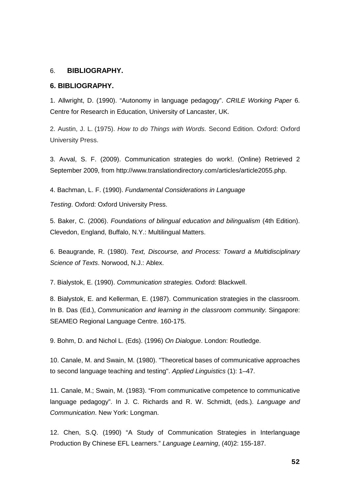## 6. **BIBLIOGRAPHY.**

### **6. BIBLIOGRAPHY.**

1. Allwright, D. (1990). "Autonomy in language pedagogy". *CRILE Working Paper* 6. Centre for Research in Education, University of Lancaster, UK.

2. Austin, J. L. (1975). *How to do Things with Words.* Second Edition. Oxford: Oxford University Press.

3. Avval, S. F. (2009). Communication strategies do work!. (Online) Retrieved 2 September 2009, from http://www.translationdirectory.com/articles/article2055.php.

4. Bachman, L. F. (1990). *Fundamental Considerations in Language* 

*Testing*. Oxford: Oxford University Press.

5. Baker, C. (2006). *Foundations of bilingual education and bilingualism* (4th Edition). Clevedon, England, Buffalo, N.Y.: Multilingual Matters.

6. Beaugrande, R. (1980). *Text, Discourse, and Process: Toward a Multidisciplinary Science of Texts*. Norwood, N.J.: Ablex.

7. Bialystok, E. (1990). *Communication strategies.* Oxford: Blackwell.

8. Bialystok, E. and Kellerman, E. (1987). Communication strategies in the classroom. In B. Das (Ed.), *Communication and learning in the classroom community.* Singapore: SEAMEO Regional Language Centre. 160-175.

9. Bohm, D. and Nichol L. (Eds). (1996) *On Dialogue*. London: Routledge.

10. Canale, M. and Swain, M. (1980). ["Theoretical bases of communicative approaches](http://ibatefl.com/wp-content/uploads/2012/08/CLT-Canale-Swain.pdf%23_blank)  [to second language teaching and testing".](http://ibatefl.com/wp-content/uploads/2012/08/CLT-Canale-Swain.pdf%23_blank) *Applied Linguistics* (1): 1–47.

11. Canale, M.; Swain, M. (1983). "From communicative competence to communicative language pedagogy". In J. C. Richards and R. W. Schmidt, (eds.). *Language and Communication*. New York: Longman.

12. Chen, S.Q. (1990) "A Study of Communication Strategies in Interlanguage Production By Chinese EFL Learners." *Language Learning*, (40)2: 155-187.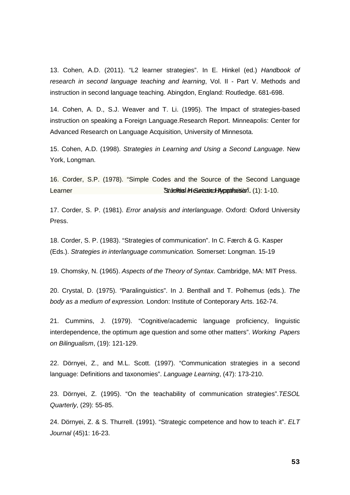13. Cohen, A.D. (2011). "L2 learner strategies". In E. Hinkel (ed.) *Handbook of research in second language teaching and learning*, Vol. II - Part V. Methods and instruction in second language teaching. Abingdon, England: Routledge. 681-698.

14. Cohen, A. D., S.J. Weaver and T. Li. (1995). The Impact of strategies-based instruction on speaking a Foreign Language.Research Report. Minneapolis: Center for Advanced Research on Language Acquisition, University of Minnesota.

15. Cohen, A.D. (1998). *Strategies in Learning and Using a Second Language*. New York, Longman.

16. Corder, S.P. (1978). "Simple Codes and the Source of the Second Language Learner **"Studies in Second According in Second According Condition** Second According to the 1-10.

17. Corder, S. P. (1981). *Error analysis and interlanguage*. Oxford: Oxford University Press.

18. Corder, S. P. (1983). "Strategies of communication". In C. Færch & G. Kasper (Eds.). *Strategies in interlanguage communication.* Somerset: Longman. 15-19

19. Chomsky, N. (1965). *Aspects of the Theory of Syntax*. Cambridge, MA: MIT Press.

20. Crystal, D. (1975). "Paralinguistics". In J. Benthall and T. Polhemus (eds.). *The body as a medium of expression.* London: Institute of Conteporary Arts. 162-74.

21. Cummins, J. (1979). "Cognitive/academic language proficiency, linguistic interdependence, the optimum age question and some other matters". *Working Papers on Bilingualism*, (19): 121-129.

22. Dörnyei, Z., and M.L. Scott. (1997). "Communication strategies in a second language: Definitions and taxonomies". *Language Learning*, (47): 173-210.

23. Dörnyei, Z. (1995). "On the teachability of communication strategies".*TESOL Quarterly*, (29): 55-85.

24. Dörnyei, Z. & S. Thurrell. (1991). "Strategic competence and how to teach it". *ELT Journal* (45)1: 16-23.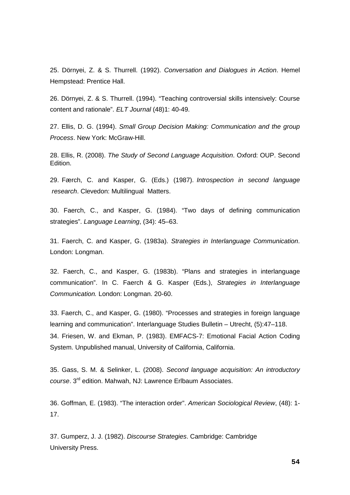25. Dörnyei, Z. & S. Thurrell. (1992). *Conversation and Dialogues in Action*. Hemel Hempstead: Prentice Hall.

26. Dörnyei, Z. & S. Thurrell. (1994). "Teaching controversial skills intensively: Course content and rationale". *ELT Journal* (48)1: 40-49.

27. Ellis, D. G. (1994). *Small Group Decision Making: Communication and the group Process*. New York: McGraw-Hill.

28. Ellis, R. (2008). *The Study of Second Language Acquisition*. Oxford: OUP. Second Edition.

29. Færch, C. and Kasper, G. (Eds.) (1987). *Introspection in second language research*. Clevedon: Multilingual Matters.

30. Faerch, C., and Kasper, G. (1984). "Two days of defining communication strategies". *Language Learning*, (34): 45–63.

31. Faerch, C. and Kasper, G. (1983a). *Strategies in Interlanguage Communication*. London: Longman.

32. Faerch, C., and Kasper, G. (1983b). "Plans and strategies in interlanguage communication". In C. Faerch & G. Kasper (Eds.), *Strategies in Interlanguage Communication.* London: Longman. 20-60.

33. Faerch, C., and Kasper, G. (1980). "Processes and strategies in foreign language learning and communication". Interlanguage Studies Bulletin – Utrecht, (5):47–118. 34. Friesen, W. and Ekman, P. (1983). EMFACS-7: Emotional Facial Action Coding System. Unpublished manual, University of California, California.

35. Gass, S. M. & Selinker, L. (2008). *Second language acquisition: An introductory course*. 3rd edition. Mahwah, NJ: Lawrence Erlbaum Associates.

36. Goffman, E. (1983). "The interaction order". *American Sociological Review*, (48): 1- 17.

37. Gumperz, J. J. (1982). *Discourse Strategies*. Cambridge: Cambridge University Press.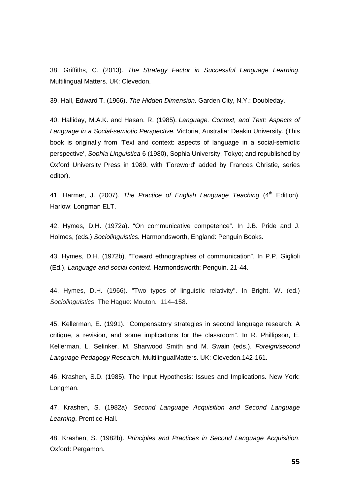38. Griffiths, C. (2013). *The Strategy Factor in Successful Language Learning*. Multilingual Matters. UK: Clevedon.

39. Hall, Edward T. (1966). *The Hidden Dimension*. Garden City, N.Y.: Doubleday.

40. Halliday, M.A.K. and Hasan, R. (1985). *Language, Context, and Text: Aspects of Language in a Social-semiotic Perspective.* Victoria, Australia: Deakin University. (This book is originally from 'Text and context: aspects of language in a social-semiotic perspective', *Sophia Linguistica* 6 (1980), Sophia University, Tokyo; and republished by Oxford University Press in 1989, with 'Foreword' added by Frances Christie, series editor).

41. Harmer, J. (2007). *The Practice of English Language Teaching* (4<sup>th</sup> Edition). Harlow: Longman ELT.

42. Hymes, D.H. (1972a). "On communicative competence". In J.B. Pride and J. Holmes, (eds.) *Sociolinguistics.* Harmondsworth, England: Penguin Books.

43. Hymes, D.H. (1972b). "Toward ethnographies of communication". In P.P. Giglioli (Ed.), *Language and social context*. Harmondsworth: Penguin. 21-44.

44. Hymes, D.H. (1966). "Two types of linguistic relativity". In Bright, W. (ed.) *Sociolinguistics*. The Hague: Mouton. 114–158.

45. Kellerman, E. (1991). "Compensatory strategies in second language research: A critique, a revision, and some implications for the classroom". In R. Phillipson, E. Kellerman, L. Selinker, M. Sharwood Smith and M. Swain (eds.). *Foreign/second Language Pedagogy Research*. MultilingualMatters. UK: Clevedon.142-161.

46. Krashen, S.D. (1985). The Input Hypothesis: Issues and Implications. New York: Longman.

47. Krashen, S. (1982a). *Second Language Acquisition and Second Language Learning*. Prentice-Hall.

48. Krashen, S. (1982b). *Principles and Practices in Second Language Acquisition*. Oxford: Pergamon.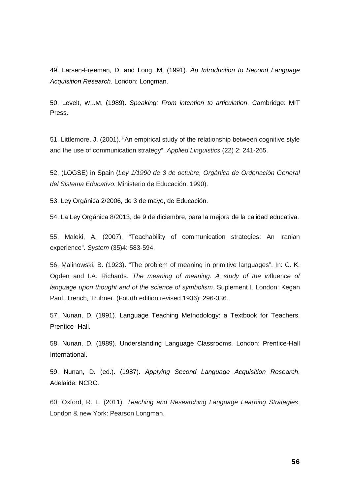49. Larsen-Freeman, D. and Long, M. (1991). *An Introduction to Second Language Acquisition Research*. London: Longman.

50. Levelt, W.J.M. (1989). *Speaking: From intention to articulation*. Cambridge: MIT Press.

51. Littlemore, J. (2001). "An empirical study of the relationship between cognitive style and the use of communication strategy". *Applied Linguistics* (22) 2: 241-265.

52. (LOGSE) in Spain (*Ley 1/1990 de 3 de octubre, Orgánica de Ordenación General del Sistema Educativo*. Ministerio de Educación. 1990).

53. Ley Orgánica 2/2006, de 3 de mayo, de Educación.

54. La Ley Orgánica 8/2013, de 9 de diciembre, para la mejora de la calidad educativa.

55. Maleki, A. (2007). "Teachability of communication strategies: An Iranian experience". *System* (35)4: 583-594.

56. Malinowski, B. (1923). "The problem of meaning in primitive languages". In: C. K. Ogden and I.A. Richards. *The meaning of meaning. A study of the in*fluen*ce of language upon thought and of the science of symbolism*. Suplement I. London: Kegan Paul, Trench, Trubner. (Fourth edition revised 1936): 296-336.

57. Nunan, D. (1991). Language Teaching Methodology: a Textbook for Teachers. Prentice- Hall.

58. Nunan, D. (1989). Understanding Language Classrooms. London: Prentice-Hall International.

59. Nunan, D. (ed.). (1987). *Applying Second Language Acquisition Research*. Adelaide: NCRC.

60. Oxford, R. L. (2011). *Teaching and Researching Language Learning Strategies*. London & new York: Pearson Longman.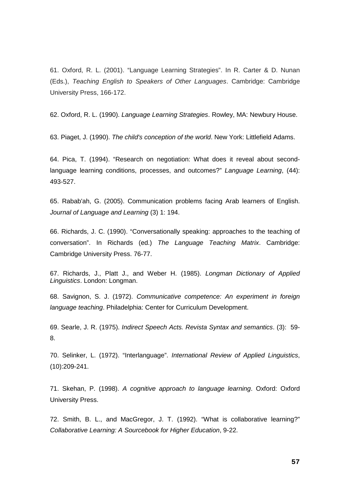61. Oxford, R. L. (2001). "Language Learning Strategies". In R. Carter & D. Nunan (Eds.), *Teaching English to Speakers of Other Languages*. Cambridge: Cambridge University Press, 166-172.

62. Oxford, R. L. (1990). *Language Learning Strategies*. Rowley, MA: Newbury House.

63. Piaget, J. (1990). *The child's conception of the world*. New York: Littlefield Adams.

64. Pica, T. (1994). "Research on negotiation: What does it reveal about secondlanguage learning conditions, processes, and outcomes?" *Language Learning*, (44): 493-527.

65. Rabab'ah, G. (2005). Communication problems facing Arab learners of English. *Journal of Language and Learning* (3) 1: 194.

66. Richards, J. C. (1990). "Conversationally speaking: approaches to the teaching of conversation". In Richards (ed.) *The Language Teaching Matrix*. Cambridge: Cambridge University Press. 76-77.

67. Richards, J., Platt J., and Weber H. (1985). *Longman Dictionary of Applied Linguistics*. London: Longman.

68. Savignon, S. J. (1972). *Communicative competence: An experiment in foreign language teaching*. Philadelphia: Center for Curriculum Development.

69. Searle, J. R. (1975). *Indirect Speech Acts. Revista Syntax and semantics*. (3): 59- 8.

70. Selinker, L. (1972). "Interlanguage". *International Review of Applied Linguistics*, (10):209-241.

71. Skehan, P. (1998). *A cognitive approach to language learning*. Oxford: Oxford University Press.

72. Smith, B. L., and MacGregor, J. T. (1992). ["What is collaborative learning?](http://citeseerx.ist.psu.edu/viewdoc/download?doi=10.1.1.128.6526&rep=rep1&type=pdf)" *Collaborative Learning: A Sourcebook for Higher Education*, 9-22.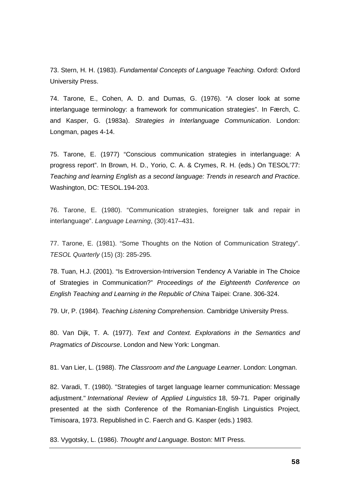73. Stern, H. H. (1983). *Fundamental Concepts of Language Teaching.* Oxford: Oxford University Press.

74. Tarone, E., Cohen, A. D. and Dumas, G. (1976). "A closer look at some interlanguage terminology: a framework for communication strategies". In Færch, C. and Kasper, G. (1983a). *Strategies in Interlanguage Communication*. London: Longman, pages 4-14.

75. Tarone, E. (1977) "Conscious communication strategies in interlanguage: A progress report". In Brown, H. D., Yorio, C. A. & Crymes, R. H. (eds.) On TESOL'77: *Teaching and learning English as a second language: Trends in research and Practice*. Washington, DC: TESOL.194-203.

76. Tarone, E. (1980). "Communication strategies, foreigner talk and repair in interlanguage". *Language Learning*, (30):417–431.

77. Tarone, E. (1981). "Some Thoughts on the Notion of Communication Strategy". *TESOL Quarterly* (15) (3): 285-295.

78. Tuan, H.J. (2001). "Is Extroversion-Intriversion Tendency A Variable in The Choice of Strategies in Communication?" *Proceedings of the Eighteenth Conference on English Teaching and Learning in the Republic of China* Taipei: Crane. 306-324.

79. Ur, P. (1984). *Teaching Listening Comprehension*. Cambridge University Press.

80. Van Dijk, T. A. (1977). *Text and Context. [Explorations](http://www.discourses.org/OldBooks/Teun%20A%20van%20Dijk%20-%20Text%20and%20Context.pdf) in the Semantics and [Pragmatics](http://www.discourses.org/OldBooks/Teun%20A%20van%20Dijk%20-%20Text%20and%20Context.pdf) of Discourse*. London and New York: Longman.

81. Van Lier, L. (1988). *The Classroom and the Language Learner*. London: Longman.

82. Varadi, T. (1980). "Strategies of target language learner communication: Message adjustment." *International Review of Applied Linguistics* 18, 59-71. Paper originally presented at the sixth Conference of the Romanian-English Linguistics Project, Timisoara, 1973. Republished in C. Faerch and G. Kasper (eds.) 1983.

83. Vygotsky, L. (1986). *Thought and Language*. Boston: MIT Press.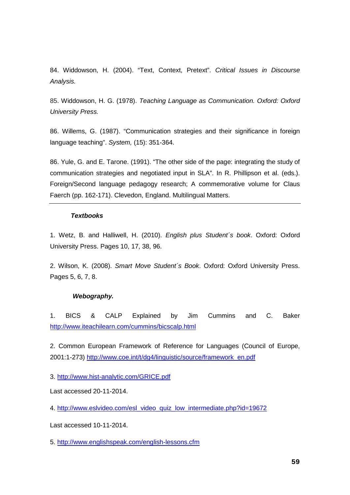84. Widdowson, H. (2004). "Text, Context, Pretext". *Critical Issues in Discourse Analysis.*

85. Widdowson, H. G. (1978). *Teaching Language as Communication. Oxford: Oxford University Press.* 

86. Willems, G. (1987). "Communication strategies and their significance in foreign language teaching". *System,* (15): 351-364.

86. Yule, G. and E. Tarone. (1991). "The other side of the page: integrating the study of communication strategies and negotiated input in SLA". In R. Phillipson et al. (eds.). Foreign/Second language pedagogy research; A commemorative volume for Claus Faerch (pp. 162-171). Clevedon, England. Multilingual Matters.

## *Textbooks*

1. Wetz, B. and Halliwell, H. (2010). *English plus Student´s book*. Oxford: Oxford University Press. Pages 10, 17, 38, 96.

2. Wilson, K. (2008). *Smart Move Student´s Book*. Oxford: Oxford University Press. Pages 5, 6, 7, 8.

### *Webography.*

1. BICS & CALP Explained by Jim Cummins and C. Baker [http://www.iteachilearn.com/cummins/bicscalp.html](http://www.iteachilearn.com/cummins/bicscalp.html%23_blank)

2. Common European Framework of Reference for Languages (Council of Europe, 2001:1-273) [http://www.coe.int/t/dg4/linguistic/source/framework\\_en.pdf](http://www.coe.int/t/dg4/linguistic/source/framework_en.pdf)

3.<http://www.hist-analytic.com/GRICE.pdf>

Last accessed 20-11-2014.

4. [http://www.eslvideo.com/esl\\_video\\_quiz\\_low\\_intermediate.php?id=19672](http://www.eslvideo.com/esl_video_quiz_low_intermediate.php?id=19672)

Last accessed 10-11-2014.

5.<http://www.englishspeak.com/english-lessons.cfm>